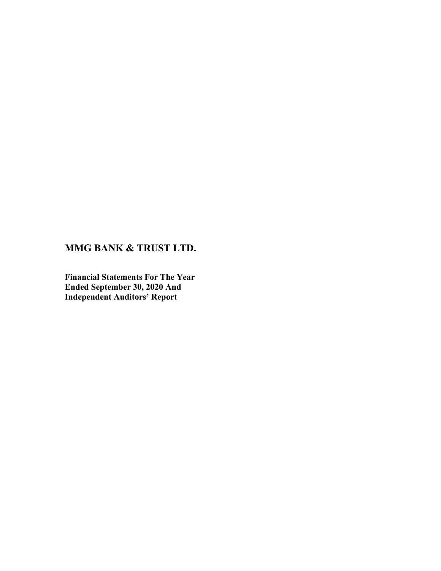**Financial Statements For The Year Ended September 30, 2020 And Independent Auditors' Report**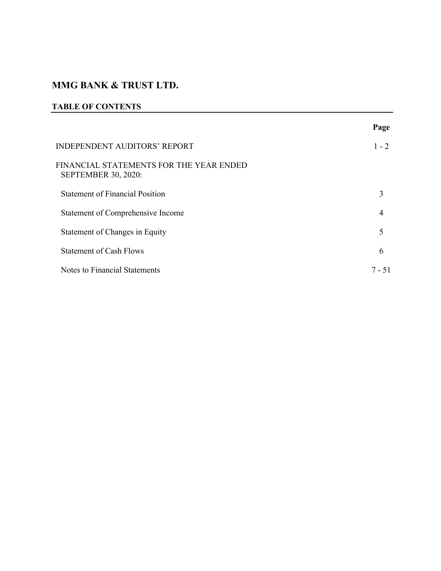# **TABLE OF CONTENTS**

|                                                                       | Page    |
|-----------------------------------------------------------------------|---------|
| <b>INDEPENDENT AUDITORS' REPORT</b>                                   | $1 - 2$ |
| FINANCIAL STATEMENTS FOR THE YEAR ENDED<br><b>SEPTEMBER 30, 2020:</b> |         |
| <b>Statement of Financial Position</b>                                | 3       |
| Statement of Comprehensive Income                                     | 4       |
| Statement of Changes in Equity                                        | 5       |
| <b>Statement of Cash Flows</b>                                        | 6       |
| Notes to Financial Statements                                         | 7 - 51  |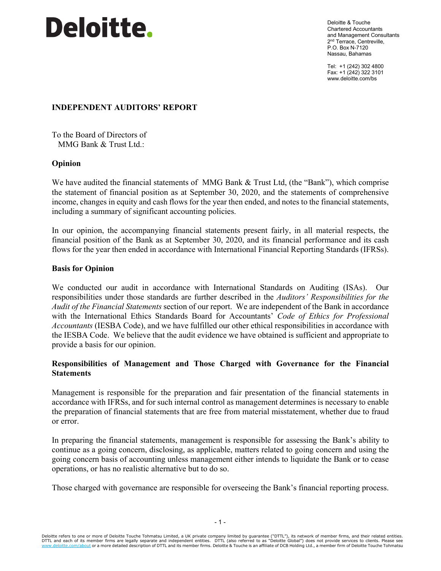# Deloitte.

Deloitte & Touche Chartered Accountants and Management Consultants 2<sup>nd</sup> Terrace, Centreville, P.O. Box N-7120 Nassau, Bahamas

Tel: +1 (242) 302 4800 Fax: +1 (242) 322 3101 www.deloitte<sup>com/bs</sup>

# **INDEPENDENT AUDITORS' REPORT**

To the Board of Directors of MMG Bank & Trust Ltd.:

## **Opinion**

We have audited the financial statements of MMG Bank & Trust Ltd, (the "Bank"), which comprise the statement of financial position as at September 30, 2020, and the statements of comprehensive income, changes in equity and cash flows for the year then ended, and notes to the financial statements, including a summary of significant accounting policies.

In our opinion, the accompanying financial statements present fairly, in all material respects, the financial position of the Bank as at September 30, 2020, and its financial performance and its cash flows for the year then ended in accordance with International Financial Reporting Standards (IFRSs).

## **Basis for Opinion**

We conducted our audit in accordance with International Standards on Auditing (ISAs). Our responsibilities under those standards are further described in the *Auditors' Responsibilities for the Audit of the Financial Statements* section of our report. We are independent of the Bank in accordance with the International Ethics Standards Board for Accountants' *Code of Ethics for Professional Accountants* (IESBA Code), and we have fulfilled our other ethical responsibilities in accordance with the IESBA Code. We believe that the audit evidence we have obtained is sufficient and appropriate to provide a basis for our opinion.

## **Responsibilities of Management and Those Charged with Governance for the Financial Statements**

Management is responsible for the preparation and fair presentation of the financial statements in accordance with IFRSs, and for such internal control as management determines is necessary to enable the preparation of financial statements that are free from material misstatement, whether due to fraud or error.

In preparing the financial statements, management is responsible for assessing the Bank's ability to continue as a going concern, disclosing, as applicable, matters related to going concern and using the going concern basis of accounting unless management either intends to liquidate the Bank or to cease operations, or has no realistic alternative but to do so.

Those charged with governance are responsible for overseeing the Bank's financial reporting process.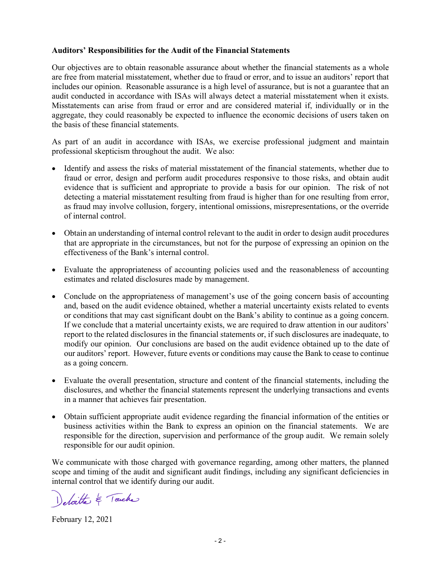## **Auditors' Responsibilities for the Audit of the Financial Statements**

Our objectives are to obtain reasonable assurance about whether the financial statements as a whole are free from material misstatement, whether due to fraud or error, and to issue an auditors' report that includes our opinion. Reasonable assurance is a high level of assurance, but is not a guarantee that an audit conducted in accordance with ISAs will always detect a material misstatement when it exists. Misstatements can arise from fraud or error and are considered material if, individually or in the aggregate, they could reasonably be expected to influence the economic decisions of users taken on the basis of these financial statements.

As part of an audit in accordance with ISAs, we exercise professional judgment and maintain professional skepticism throughout the audit. We also:

- Identify and assess the risks of material misstatement of the financial statements, whether due to fraud or error, design and perform audit procedures responsive to those risks, and obtain audit evidence that is sufficient and appropriate to provide a basis for our opinion. The risk of not detecting a material misstatement resulting from fraud is higher than for one resulting from error, as fraud may involve collusion, forgery, intentional omissions, misrepresentations, or the override of internal control.
- Obtain an understanding of internal control relevant to the audit in order to design audit procedures that are appropriate in the circumstances, but not for the purpose of expressing an opinion on the effectiveness of the Bank's internal control.
- Evaluate the appropriateness of accounting policies used and the reasonableness of accounting estimates and related disclosures made by management.
- Conclude on the appropriateness of management's use of the going concern basis of accounting and, based on the audit evidence obtained, whether a material uncertainty exists related to events or conditions that may cast significant doubt on the Bank's ability to continue as a going concern. If we conclude that a material uncertainty exists, we are required to draw attention in our auditors' report to the related disclosures in the financial statements or, if such disclosures are inadequate, to modify our opinion. Our conclusions are based on the audit evidence obtained up to the date of our auditors' report. However, future events or conditions may cause the Bank to cease to continue as a going concern.
- Evaluate the overall presentation, structure and content of the financial statements, including the disclosures, and whether the financial statements represent the underlying transactions and events in a manner that achieves fair presentation.
- Obtain sufficient appropriate audit evidence regarding the financial information of the entities or business activities within the Bank to express an opinion on the financial statements. We are responsible for the direction, supervision and performance of the group audit. We remain solely responsible for our audit opinion.

We communicate with those charged with governance regarding, among other matters, the planned scope and timing of the audit and significant audit findings, including any significant deficiencies in internal control that we identify during our audit.

Delatte & Taiche

February 12, 2021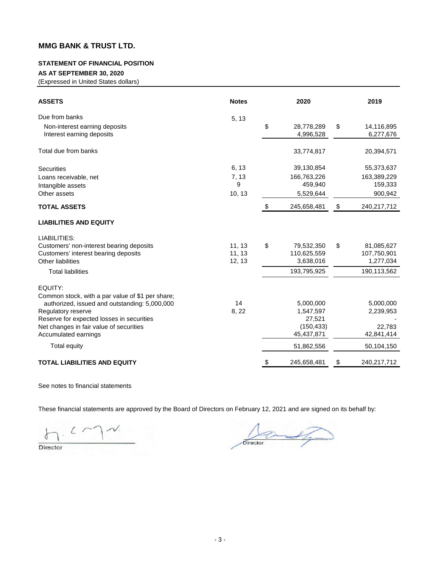## **STATEMENT OF FINANCIAL POSITION**

## **AS AT SEPTEMBER 30, 2020**

(Expressed in United States dollars)

| <b>ASSETS</b>                                                   | <b>Notes</b> |                | 2020                    | 2019                          |
|-----------------------------------------------------------------|--------------|----------------|-------------------------|-------------------------------|
| Due from banks                                                  | 5, 13        |                |                         |                               |
| Non-interest earning deposits<br>Interest earning deposits      |              | \$             | 28,778,289<br>4,996,528 | \$<br>14,116,895<br>6,277,676 |
| Total due from banks                                            |              |                | 33,774,817              | 20,394,571                    |
| Securities                                                      | 6, 13        |                | 39,130,854              | 55,373,637                    |
| Loans receivable, net                                           | 7, 13        |                | 166,763,226             | 163,389,229                   |
| Intangible assets                                               | 9            |                | 459,940                 | 159,333                       |
| Other assets                                                    | 10, 13       |                | 5,529,644               | 900,942                       |
| <b>TOTAL ASSETS</b>                                             |              | $\mathfrak{S}$ | 245,658,481             | \$<br>240,217,712             |
| <b>LIABILITIES AND EQUITY</b>                                   |              |                |                         |                               |
| LIABILITIES:                                                    |              |                |                         |                               |
| Customers' non-interest bearing deposits                        | 11, 13       | \$             | 79,532,350              | \$<br>81,085,627              |
| Customers' interest bearing deposits                            | 11, 13       |                | 110,625,559             | 107,750,901                   |
| <b>Other liabilities</b>                                        | 12, 13       |                | 3,638,016               | 1,277,034                     |
| <b>Total liabilities</b>                                        |              |                | 193,795,925             | 190,113,562                   |
| EQUITY:                                                         |              |                |                         |                               |
| Common stock, with a par value of \$1 per share;                |              |                |                         |                               |
| authorized, issued and outstanding: 5,000,000                   | 14           |                | 5,000,000               | 5,000,000                     |
| Regulatory reserve<br>Reserve for expected losses in securities | 8, 22        |                | 1,547,597<br>27,521     | 2,239,953                     |
| Net changes in fair value of securities                         |              |                | (150, 433)              | 22,783                        |
| Accumulated earnings                                            |              |                | 45,437,871              | 42,841,414                    |
| <b>Total equity</b>                                             |              |                | 51,862,556              | 50,104,150                    |
| <b>TOTAL LIABILITIES AND EQUITY</b>                             |              | \$             | 245,658,481             | \$<br>240,217,712             |

See notes to financial statements

These financial statements are approved by the Board of Directors on February 12, 2021 and are signed on its behalf by:

 $H.$   $C \cap N$ Director

Director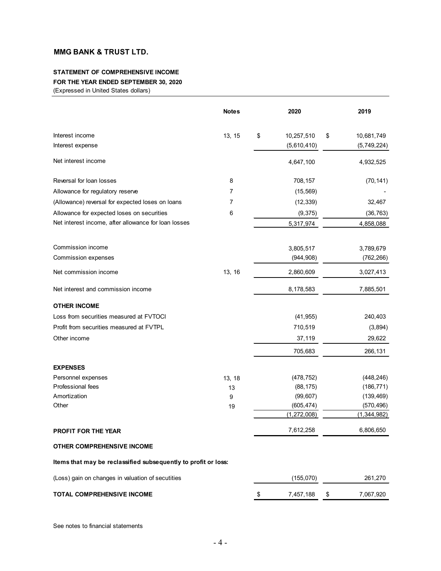## **STATEMENT OF COMPREHENSIVE INCOME FOR THE YEAR ENDED SEPTEMBER 30, 2020**

(Expressed in United States dollars)

|                                                                | <b>Notes</b> | 2020                            | 2019                            |
|----------------------------------------------------------------|--------------|---------------------------------|---------------------------------|
| Interest income<br>Interest expense                            | 13, 15       | \$<br>10,257,510<br>(5,610,410) | \$<br>10,681,749<br>(5,749,224) |
| Net interest income                                            |              | 4,647,100                       | 4,932,525                       |
| Reversal for loan losses                                       | 8            | 708,157                         | (70, 141)                       |
| Allowance for regulatory reserve                               | 7            | (15, 569)                       |                                 |
| (Allowance) reversal for expected loses on loans               | 7            | (12, 339)                       | 32,467                          |
| Allowance for expected loses on securities                     | 6            | (9, 375)                        | (36, 763)                       |
| Net interest income, after allowance for loan losses           |              | 5,317,974                       | 4,858,088                       |
| Commission income                                              |              | 3,805,517                       | 3,789,679                       |
| Commission expenses                                            |              | (944, 908)                      | (762, 266)                      |
| Net commission income                                          | 13, 16       | 2,860,609                       | 3,027,413                       |
| Net interest and commission income                             |              | 8,178,583                       | 7,885,501                       |
| <b>OTHER INCOME</b>                                            |              |                                 |                                 |
| Loss from securities measured at FVTOCI                        |              | (41, 955)                       | 240,403                         |
| Profit from securities measured at FVTPL                       |              | 710,519                         | (3,894)                         |
| Other income                                                   |              | 37,119                          | 29,622                          |
|                                                                |              | 705,683                         | 266,131                         |
| <b>EXPENSES</b>                                                |              |                                 |                                 |
| Personnel expenses                                             | 13, 18       | (478, 752)                      | (448, 246)                      |
| Professional fees                                              | 13           | (88, 175)                       | (186, 771)                      |
| Amortization                                                   | 9            | (99, 607)                       | (139, 469)                      |
| Other                                                          | 19           | (605, 474)                      | (570, 496)                      |
|                                                                |              | (1, 272, 008)                   | (1, 344, 982)                   |
| PROFIT FOR THE YEAR                                            |              | 7,612,258                       | 6,806,650                       |
| <b>OTHER COMPREHENSIVE INCOME</b>                              |              |                                 |                                 |
| Items that may be reclassified subsequently to profit or loss: |              |                                 |                                 |
| (Loss) gain on changes in valuation of secutities              |              | (155,070)                       | 261,270                         |
| TOTAL COMPREHENSIVE INCOME                                     |              | \$<br>7,457,188                 | \$<br>7,067,920                 |

See notes to financial statements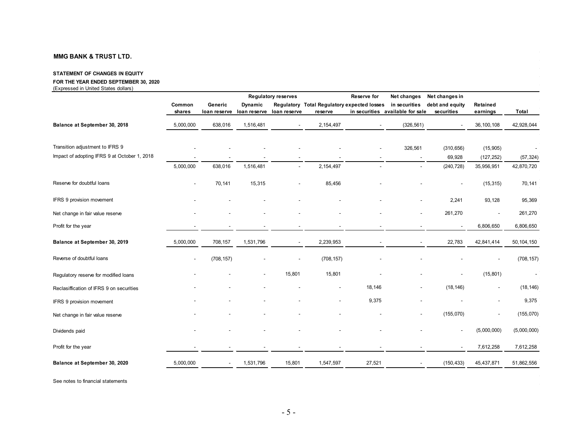#### **STATEMENT OF CHANGES IN EQUITY FOR THE YEAR ENDED SEPTEMBER 30, 2020** (Expressed in United States dollars)

|                                              |                |              |              | <b>Regulatory reserves</b> |                                             | Reserve for              | Net changes                      | Net changes in           |                         |                         |
|----------------------------------------------|----------------|--------------|--------------|----------------------------|---------------------------------------------|--------------------------|----------------------------------|--------------------------|-------------------------|-------------------------|
|                                              | Common         | Generic      | Dynamic      |                            | Regulatory Total Regulatory expected losses |                          | in securities                    | debt and equity          | Retained                |                         |
|                                              | shares         | loan reserve | loan reserve | loan reserve               | reserve                                     |                          | in securities available for sale | securities               | earnings                | Total                   |
| Balance at September 30, 2018                | 5,000,000      | 638,016      | 1,516,481    | $\blacksquare$             | 2,154,497                                   | $\overline{\phantom{a}}$ | (326, 561)                       | $\blacksquare$           | 36, 100, 108            | 42,928,044              |
| Transition adjustment to IFRS 9              |                |              |              |                            |                                             |                          |                                  |                          |                         |                         |
| Impact of adopting IFRS 9 at October 1, 2018 |                |              |              |                            |                                             |                          | 326,561                          | (310, 656)<br>69,928     | (15, 905)<br>(127, 252) |                         |
|                                              | 5,000,000      | 638,016      | 1,516,481    |                            | 2,154,497                                   |                          |                                  | (240, 728)               | 35,956,951              | (57, 324)<br>42,870,720 |
|                                              |                |              |              |                            |                                             |                          |                                  |                          |                         |                         |
| Reserve for doubtful loans                   | $\blacksquare$ | 70,141       | 15,315       |                            | 85,456                                      |                          |                                  |                          | (15, 315)               | 70,141                  |
| IFRS 9 provision movement                    |                |              |              |                            |                                             |                          |                                  | 2,241                    | 93,128                  | 95,369                  |
| Net change in fair value reserve             |                |              |              |                            |                                             |                          |                                  | 261,270                  | ÷,                      | 261,270                 |
| Profit for the year                          |                |              |              |                            |                                             |                          |                                  | $\overline{\phantom{a}}$ | 6,806,650               | 6,806,650               |
| Balance at September 30, 2019                | 5,000,000      | 708,157      | 1,531,796    | $\blacksquare$             | 2,239,953                                   |                          |                                  | 22,783                   | 42,841,414              | 50, 104, 150            |
| Reverse of doubtful loans                    |                | (708, 157)   |              |                            | (708, 157)                                  |                          |                                  |                          |                         | (708, 157)              |
| Regulatory reserve for modified loans        |                |              |              | 15,801                     | 15,801                                      |                          |                                  |                          | (15, 801)               |                         |
| Reclasiffication of IFRS 9 on securities     |                |              |              |                            | ٠                                           | 18,146                   |                                  | (18, 146)                | $\blacksquare$          | (18, 146)               |
| IFRS 9 provision movement                    |                |              |              |                            |                                             | 9,375                    |                                  |                          |                         | 9,375                   |
| Net change in fair value reserve             |                |              |              |                            |                                             |                          |                                  | (155,070)                |                         | (155,070)               |
| Dividends paid                               |                |              |              |                            |                                             |                          |                                  | $\overline{\phantom{a}}$ | (5,000,000)             | (5,000,000)             |
| Profit for the year                          |                |              |              |                            |                                             |                          |                                  |                          | 7,612,258               | 7,612,258               |
| Balance at September 30, 2020                | 5,000,000      |              | 1,531,796    | 15,801                     | 1,547,597                                   | 27,521                   |                                  | (150, 433)               | 45,437,871              | 51,862,556              |

See notes to financial statements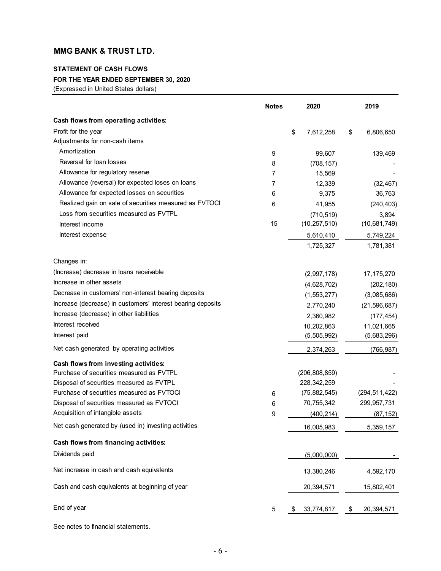## **STATEMENT OF CASH FLOWS**

## **FOR THE YEAR ENDED SEPTEMBER 30, 2020**

(Expressed in United States dollars)

|                                                             | <b>Notes</b> | 2020             | 2019             |
|-------------------------------------------------------------|--------------|------------------|------------------|
| Cash flows from operating activities:                       |              |                  |                  |
| Profit for the year                                         |              | \$<br>7,612,258  | \$<br>6,806,650  |
| Adjustments for non-cash items                              |              |                  |                  |
| Amortization                                                | 9            | 99,607           | 139,469          |
| Reversal for loan losses                                    | 8            | (708, 157)       |                  |
| Allowance for regulatory reserve                            | 7            | 15,569           |                  |
| Allowance (reversal) for expected loses on loans            | 7            | 12,339           | (32, 467)        |
| Allowance for expected losses on securities                 | 6            | 9,375            | 36,763           |
| Realized gain on sale of securities measured as FVTOCI      | 6            | 41,955           | (240, 403)       |
| Loss from securities measured as FVTPL                      |              | (710, 519)       | 3,894            |
| Interest income                                             | 15           | (10, 257, 510)   | (10,681,749)     |
| Interest expense                                            |              | 5,610,410        | 5,749,224        |
|                                                             |              | 1,725,327        | 1,781,381        |
| Changes in:                                                 |              |                  |                  |
| (Increase) decrease in loans receivable                     |              | (2,997,178)      | 17, 175, 270     |
| Increase in other assets                                    |              | (4,628,702)      | (202, 180)       |
| Decrease in customers' non-interest bearing deposits        |              | (1, 553, 277)    | (3,085,686)      |
| Increase (decrease) in customers' interest bearing deposits |              | 2,770,240        | (21, 596, 687)   |
| Increase (decrease) in other liabilities                    |              | 2,360,982        | (177, 454)       |
| Interest received                                           |              | 10,202,863       | 11,021,665       |
| Interest paid                                               |              | (5,505,992)      | (5,683,296)      |
| Net cash generated by operating activities                  |              | 2,374,263        | (766, 987)       |
| Cash flows from investing activities:                       |              |                  |                  |
| Purchase of securities measured as FVTPL                    |              | (206, 808, 859)  |                  |
| Disposal of securities measured as FVTPL                    |              | 228,342,259      |                  |
| Purchase of securities measured as FVTOCI                   | 6            | (75, 882, 545)   | (294, 511, 422)  |
| Disposal of securities measured as FVTOCI                   | 6            | 70,755,342       | 299, 957, 731    |
| Acquisition of intangible assets                            | 9            | (400, 214)       | (87, 152)        |
| Net cash generated by (used in) investing activities        |              | 16,005,983       | 5,359,157        |
| Cash flows from financing activities:                       |              |                  |                  |
| Dividends paid                                              |              | (5,000,000)      |                  |
| Net increase in cash and cash equivalents                   |              | 13,380,246       | 4,592,170        |
| Cash and cash equivalents at beginning of year              |              | 20,394,571       | 15,802,401       |
| End of year                                                 | 5            | 33,774,817<br>S. | 20,394,571<br>\$ |

See notes to financial statements.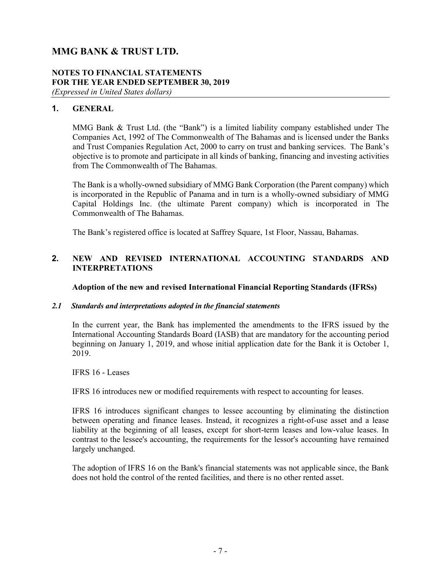#### **NOTES TO FINANCIAL STATEMENTS FOR THE YEAR ENDED SEPTEMBER 30, 2019** *(Expressed in United States dollars)*

## **1. GENERAL**

MMG Bank & Trust Ltd. (the "Bank") is a limited liability company established under The Companies Act, 1992 of The Commonwealth of The Bahamas and is licensed under the Banks and Trust Companies Regulation Act, 2000 to carry on trust and banking services. The Bank's objective is to promote and participate in all kinds of banking, financing and investing activities from The Commonwealth of The Bahamas.

The Bank is a wholly-owned subsidiary of MMG Bank Corporation (the Parent company) which is incorporated in the Republic of Panama and in turn is a wholly-owned subsidiary of MMG Capital Holdings Inc. (the ultimate Parent company) which is incorporated in The Commonwealth of The Bahamas.

The Bank's registered office is located at Saffrey Square, 1st Floor, Nassau, Bahamas.

# **2. NEW AND REVISED INTERNATIONAL ACCOUNTING STANDARDS AND INTERPRETATIONS**

## **Adoption of the new and revised International Financial Reporting Standards (IFRSs)**

## *2.1 Standards and interpretations adopted in the financial statements*

In the current year, the Bank has implemented the amendments to the IFRS issued by the International Accounting Standards Board (IASB) that are mandatory for the accounting period beginning on January 1, 2019, and whose initial application date for the Bank it is October 1, 2019.

IFRS 16 - Leases

IFRS 16 introduces new or modified requirements with respect to accounting for leases.

IFRS 16 introduces significant changes to lessee accounting by eliminating the distinction between operating and finance leases. Instead, it recognizes a right-of-use asset and a lease liability at the beginning of all leases, except for short-term leases and low-value leases. In contrast to the lessee's accounting, the requirements for the lessor's accounting have remained largely unchanged.

The adoption of IFRS 16 on the Bank's financial statements was not applicable since, the Bank does not hold the control of the rented facilities, and there is no other rented asset.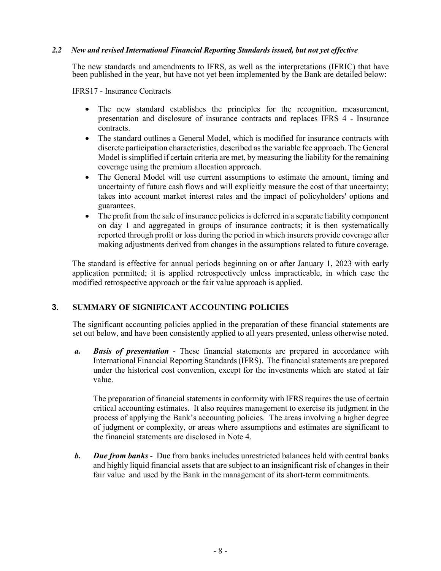## *2.2 New and revised International Financial Reporting Standards issued, but not yet effective*

The new standards and amendments to IFRS, as well as the interpretations (IFRIC) that have been published in the year, but have not yet been implemented by the Bank are detailed below:

IFRS17 - Insurance Contracts

- The new standard establishes the principles for the recognition, measurement, presentation and disclosure of insurance contracts and replaces IFRS 4 - Insurance contracts.
- The standard outlines a General Model, which is modified for insurance contracts with discrete participation characteristics, described as the variable fee approach. The General Model is simplified if certain criteria are met, by measuring the liability for the remaining coverage using the premium allocation approach.
- The General Model will use current assumptions to estimate the amount, timing and uncertainty of future cash flows and will explicitly measure the cost of that uncertainty; takes into account market interest rates and the impact of policyholders' options and guarantees.
- The profit from the sale of insurance policies is deferred in a separate liability component on day 1 and aggregated in groups of insurance contracts; it is then systematically reported through profit or loss during the period in which insurers provide coverage after making adjustments derived from changes in the assumptions related to future coverage.

The standard is effective for annual periods beginning on or after January 1, 2023 with early application permitted; it is applied retrospectively unless impracticable, in which case the modified retrospective approach or the fair value approach is applied.

# **3. SUMMARY OF SIGNIFICANT ACCOUNTING POLICIES**

The significant accounting policies applied in the preparation of these financial statements are set out below, and have been consistently applied to all years presented, unless otherwise noted.

*a. Basis of presentation* - These financial statements are prepared in accordance with International Financial Reporting Standards (IFRS). The financial statements are prepared under the historical cost convention, except for the investments which are stated at fair value.

The preparation of financial statements in conformity with IFRS requires the use of certain critical accounting estimates. It also requires management to exercise its judgment in the process of applying the Bank's accounting policies. The areas involving a higher degree of judgment or complexity, or areas where assumptions and estimates are significant to the financial statements are disclosed in Note 4.

*b. Due from banks* - Due from banks includes unrestricted balances held with central banks and highly liquid financial assets that are subject to an insignificant risk of changes in their fair value and used by the Bank in the management of its short-term commitments.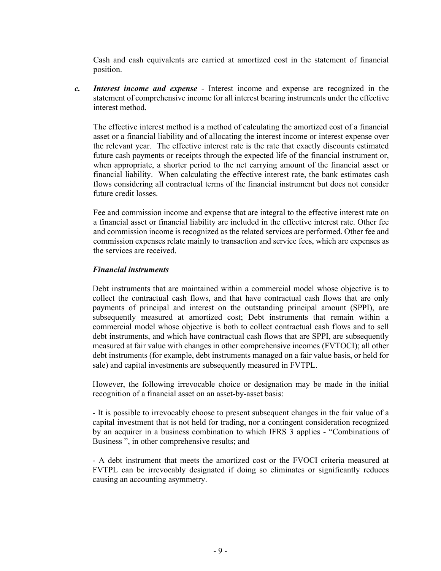Cash and cash equivalents are carried at amortized cost in the statement of financial position.

*c. Interest income and expense* - Interest income and expense are recognized in the statement of comprehensive income for all interest bearing instruments under the effective interest method.

The effective interest method is a method of calculating the amortized cost of a financial asset or a financial liability and of allocating the interest income or interest expense over the relevant year. The effective interest rate is the rate that exactly discounts estimated future cash payments or receipts through the expected life of the financial instrument or, when appropriate, a shorter period to the net carrying amount of the financial asset or financial liability. When calculating the effective interest rate, the bank estimates cash flows considering all contractual terms of the financial instrument but does not consider future credit losses.

Fee and commission income and expense that are integral to the effective interest rate on a financial asset or financial liability are included in the effective interest rate. Other fee and commission income is recognized as the related services are performed. Other fee and commission expenses relate mainly to transaction and service fees, which are expenses as the services are received.

## *Financial instruments*

Debt instruments that are maintained within a commercial model whose objective is to collect the contractual cash flows, and that have contractual cash flows that are only payments of principal and interest on the outstanding principal amount (SPPI), are subsequently measured at amortized cost; Debt instruments that remain within a commercial model whose objective is both to collect contractual cash flows and to sell debt instruments, and which have contractual cash flows that are SPPI, are subsequently measured at fair value with changes in other comprehensive incomes (FVTOCI); all other debt instruments (for example, debt instruments managed on a fair value basis, or held for sale) and capital investments are subsequently measured in FVTPL.

However, the following irrevocable choice or designation may be made in the initial recognition of a financial asset on an asset-by-asset basis:

- It is possible to irrevocably choose to present subsequent changes in the fair value of a capital investment that is not held for trading, nor a contingent consideration recognized by an acquirer in a business combination to which IFRS 3 applies - "Combinations of Business ", in other comprehensive results; and

- A debt instrument that meets the amortized cost or the FVOCI criteria measured at FVTPL can be irrevocably designated if doing so eliminates or significantly reduces causing an accounting asymmetry.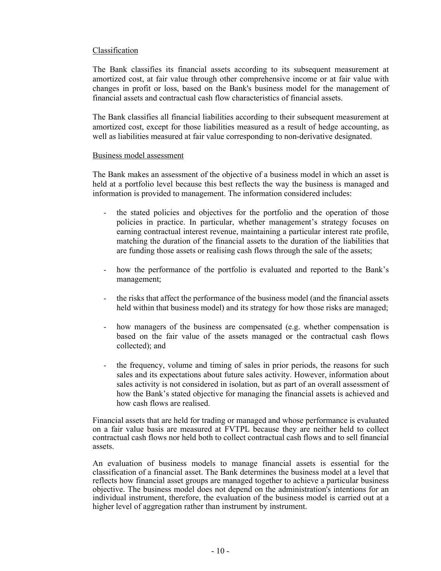## Classification

The Bank classifies its financial assets according to its subsequent measurement at amortized cost, at fair value through other comprehensive income or at fair value with changes in profit or loss, based on the Bank's business model for the management of financial assets and contractual cash flow characteristics of financial assets.

The Bank classifies all financial liabilities according to their subsequent measurement at amortized cost, except for those liabilities measured as a result of hedge accounting, as well as liabilities measured at fair value corresponding to non-derivative designated.

#### Business model assessment

The Bank makes an assessment of the objective of a business model in which an asset is held at a portfolio level because this best reflects the way the business is managed and information is provided to management. The information considered includes:

- the stated policies and objectives for the portfolio and the operation of those policies in practice. In particular, whether management's strategy focuses on earning contractual interest revenue, maintaining a particular interest rate profile, matching the duration of the financial assets to the duration of the liabilities that are funding those assets or realising cash flows through the sale of the assets;
- how the performance of the portfolio is evaluated and reported to the Bank's management;
- the risks that affect the performance of the business model (and the financial assets held within that business model) and its strategy for how those risks are managed;
- how managers of the business are compensated (e.g. whether compensation is based on the fair value of the assets managed or the contractual cash flows collected); and
- the frequency, volume and timing of sales in prior periods, the reasons for such sales and its expectations about future sales activity. However, information about sales activity is not considered in isolation, but as part of an overall assessment of how the Bank's stated objective for managing the financial assets is achieved and how cash flows are realised.

Financial assets that are held for trading or managed and whose performance is evaluated on a fair value basis are measured at FVTPL because they are neither held to collect contractual cash flows nor held both to collect contractual cash flows and to sell financial assets.

An evaluation of business models to manage financial assets is essential for the classification of a financial asset. The Bank determines the business model at a level that reflects how financial asset groups are managed together to achieve a particular business objective. The business model does not depend on the administration's intentions for an individual instrument, therefore, the evaluation of the business model is carried out at a higher level of aggregation rather than instrument by instrument.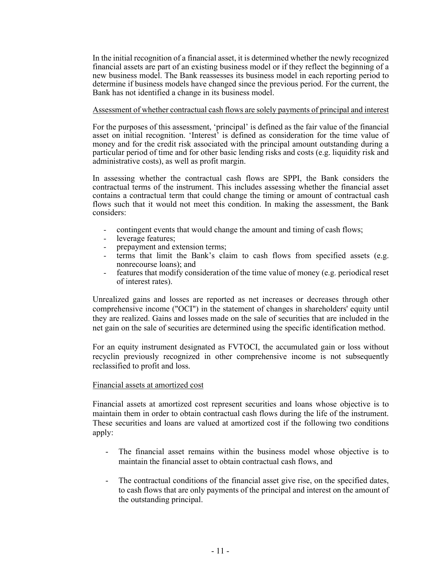In the initial recognition of a financial asset, it is determined whether the newly recognized financial assets are part of an existing business model or if they reflect the beginning of a new business model. The Bank reassesses its business model in each reporting period to determine if business models have changed since the previous period. For the current, the Bank has not identified a change in its business model.

#### Assessment of whether contractual cash flows are solely payments of principal and interest

For the purposes of this assessment, 'principal' is defined as the fair value of the financial asset on initial recognition. 'Interest' is defined as consideration for the time value of money and for the credit risk associated with the principal amount outstanding during a particular period of time and for other basic lending risks and costs (e.g. liquidity risk and administrative costs), as well as profit margin.

In assessing whether the contractual cash flows are SPPI, the Bank considers the contractual terms of the instrument. This includes assessing whether the financial asset contains a contractual term that could change the timing or amount of contractual cash flows such that it would not meet this condition. In making the assessment, the Bank considers:

- contingent events that would change the amount and timing of cash flows;
- leverage features;
- prepayment and extension terms;
- terms that limit the Bank's claim to cash flows from specified assets (e.g. nonrecourse loans); and
- features that modify consideration of the time value of money (e.g. periodical reset of interest rates).

Unrealized gains and losses are reported as net increases or decreases through other comprehensive income ("OCI") in the statement of changes in shareholders' equity until they are realized. Gains and losses made on the sale of securities that are included in the net gain on the sale of securities are determined using the specific identification method.

For an equity instrument designated as FVTOCI, the accumulated gain or loss without recyclin previously recognized in other comprehensive income is not subsequently reclassified to profit and loss.

## Financial assets at amortized cost

Financial assets at amortized cost represent securities and loans whose objective is to maintain them in order to obtain contractual cash flows during the life of the instrument. These securities and loans are valued at amortized cost if the following two conditions apply:

- The financial asset remains within the business model whose objective is to maintain the financial asset to obtain contractual cash flows, and
- The contractual conditions of the financial asset give rise, on the specified dates, to cash flows that are only payments of the principal and interest on the amount of the outstanding principal.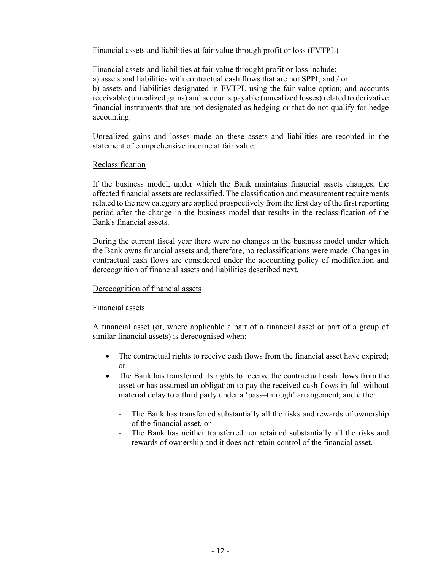## Financial assets and liabilities at fair value through profit or loss (FVTPL)

Financial assets and liabilities at fair value throught profit or loss include:

a) assets and liabilities with contractual cash flows that are not SPPI; and / or

b) assets and liabilities designated in FVTPL using the fair value option; and accounts receivable (unrealized gains) and accounts payable (unrealized losses) related to derivative financial instruments that are not designated as hedging or that do not qualify for hedge accounting.

Unrealized gains and losses made on these assets and liabilities are recorded in the statement of comprehensive income at fair value.

## Reclassification

If the business model, under which the Bank maintains financial assets changes, the affected financial assets are reclassified. The classification and measurement requirements related to the new category are applied prospectively from the first day of the first reporting period after the change in the business model that results in the reclassification of the Bank's financial assets.

During the current fiscal year there were no changes in the business model under which the Bank owns financial assets and, therefore, no reclassifications were made. Changes in contractual cash flows are considered under the accounting policy of modification and derecognition of financial assets and liabilities described next.

## Derecognition of financial assets

Financial assets

A financial asset (or, where applicable a part of a financial asset or part of a group of similar financial assets) is derecognised when:

- The contractual rights to receive cash flows from the financial asset have expired; or
- The Bank has transferred its rights to receive the contractual cash flows from the asset or has assumed an obligation to pay the received cash flows in full without material delay to a third party under a 'pass–through' arrangement; and either:
	- The Bank has transferred substantially all the risks and rewards of ownership of the financial asset, or
	- The Bank has neither transferred nor retained substantially all the risks and rewards of ownership and it does not retain control of the financial asset.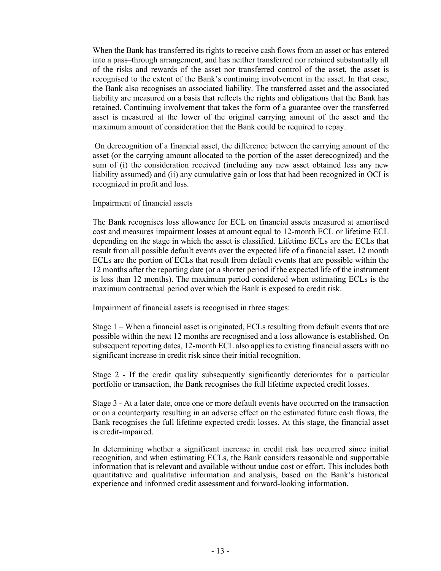When the Bank has transferred its rights to receive cash flows from an asset or has entered into a pass–through arrangement, and has neither transferred nor retained substantially all of the risks and rewards of the asset nor transferred control of the asset, the asset is recognised to the extent of the Bank's continuing involvement in the asset. In that case, the Bank also recognises an associated liability. The transferred asset and the associated liability are measured on a basis that reflects the rights and obligations that the Bank has retained. Continuing involvement that takes the form of a guarantee over the transferred asset is measured at the lower of the original carrying amount of the asset and the maximum amount of consideration that the Bank could be required to repay.

On derecognition of a financial asset, the difference between the carrying amount of the asset (or the carrying amount allocated to the portion of the asset derecognized) and the sum of (i) the consideration received (including any new asset obtained less any new liability assumed) and (ii) any cumulative gain or loss that had been recognized in OCI is recognized in profit and loss.

Impairment of financial assets

The Bank recognises loss allowance for ECL on financial assets measured at amortised cost and measures impairment losses at amount equal to 12-month ECL or lifetime ECL depending on the stage in which the asset is classified. Lifetime ECLs are the ECLs that result from all possible default events over the expected life of a financial asset. 12 month ECLs are the portion of ECLs that result from default events that are possible within the 12 months after the reporting date (or a shorter period if the expected life of the instrument is less than 12 months). The maximum period considered when estimating ECLs is the maximum contractual period over which the Bank is exposed to credit risk.

Impairment of financial assets is recognised in three stages:

Stage 1 – When a financial asset is originated, ECLs resulting from default events that are possible within the next 12 months are recognised and a loss allowance is established. On subsequent reporting dates, 12-month ECL also applies to existing financial assets with no significant increase in credit risk since their initial recognition.

Stage 2 - If the credit quality subsequently significantly deteriorates for a particular portfolio or transaction, the Bank recognises the full lifetime expected credit losses.

Stage 3 - At a later date, once one or more default events have occurred on the transaction or on a counterparty resulting in an adverse effect on the estimated future cash flows, the Bank recognises the full lifetime expected credit losses. At this stage, the financial asset is credit-impaired.

In determining whether a significant increase in credit risk has occurred since initial recognition, and when estimating ECLs, the Bank considers reasonable and supportable information that is relevant and available without undue cost or effort. This includes both quantitative and qualitative information and analysis, based on the Bank's historical experience and informed credit assessment and forward-looking information.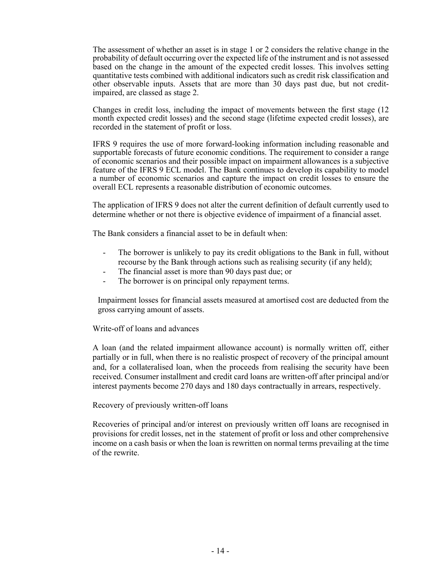The assessment of whether an asset is in stage 1 or 2 considers the relative change in the probability of default occurring over the expected life of the instrument and is not assessed based on the change in the amount of the expected credit losses. This involves setting quantitative tests combined with additional indicators such as credit risk classification and other observable inputs. Assets that are more than 30 days past due, but not creditimpaired, are classed as stage 2.

Changes in credit loss, including the impact of movements between the first stage (12 month expected credit losses) and the second stage (lifetime expected credit losses), are recorded in the statement of profit or loss.

IFRS 9 requires the use of more forward-looking information including reasonable and supportable forecasts of future economic conditions. The requirement to consider a range of economic scenarios and their possible impact on impairment allowances is a subjective feature of the IFRS 9 ECL model. The Bank continues to develop its capability to model a number of economic scenarios and capture the impact on credit losses to ensure the overall ECL represents a reasonable distribution of economic outcomes.

The application of IFRS 9 does not alter the current definition of default currently used to determine whether or not there is objective evidence of impairment of a financial asset.

The Bank considers a financial asset to be in default when:

- The borrower is unlikely to pay its credit obligations to the Bank in full, without recourse by the Bank through actions such as realising security (if any held);
- The financial asset is more than 90 days past due; or
- The borrower is on principal only repayment terms.

Impairment losses for financial assets measured at amortised cost are deducted from the gross carrying amount of assets.

Write-off of loans and advances

A loan (and the related impairment allowance account) is normally written off, either partially or in full, when there is no realistic prospect of recovery of the principal amount and, for a collateralised loan, when the proceeds from realising the security have been received. Consumer installment and credit card loans are written-off after principal and/or interest payments become 270 days and 180 days contractually in arrears, respectively.

Recovery of previously written-off loans

Recoveries of principal and/or interest on previously written off loans are recognised in provisions for credit losses, net in the statement of profit or loss and other comprehensive income on a cash basis or when the loan is rewritten on normal terms prevailing at the time of the rewrite.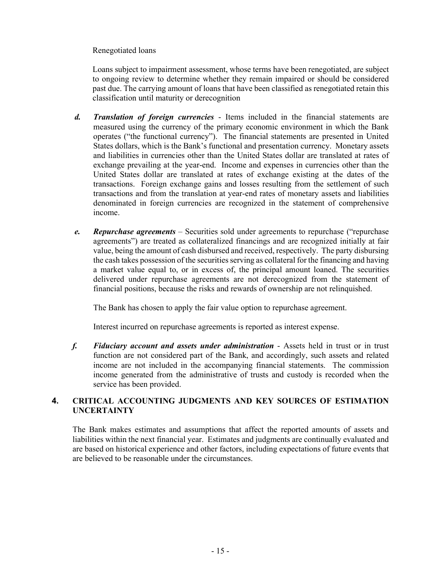Renegotiated loans

Loans subject to impairment assessment, whose terms have been renegotiated, are subject to ongoing review to determine whether they remain impaired or should be considered past due. The carrying amount of loans that have been classified as renegotiated retain this classification until maturity or derecognition

- *d. Translation of foreign currencies* Items included in the financial statements are measured using the currency of the primary economic environment in which the Bank operates ("the functional currency"). The financial statements are presented in United States dollars, which is the Bank's functional and presentation currency. Monetary assets and liabilities in currencies other than the United States dollar are translated at rates of exchange prevailing at the year-end. Income and expenses in currencies other than the United States dollar are translated at rates of exchange existing at the dates of the transactions. Foreign exchange gains and losses resulting from the settlement of such transactions and from the translation at year-end rates of monetary assets and liabilities denominated in foreign currencies are recognized in the statement of comprehensive income.
- *e. Repurchase agreements*  Securities sold under agreements to repurchase ("repurchase agreements") are treated as collateralized financings and are recognized initially at fair value, being the amount of cash disbursed and received, respectively. The party disbursing the cash takes possession of the securities serving as collateral for the financing and having a market value equal to, or in excess of, the principal amount loaned. The securities delivered under repurchase agreements are not derecognized from the statement of financial positions, because the risks and rewards of ownership are not relinquished.

The Bank has chosen to apply the fair value option to repurchase agreement.

Interest incurred on repurchase agreements is reported as interest expense.

*f. Fiduciary account and assets under administration* - Assets held in trust or in trust function are not considered part of the Bank, and accordingly, such assets and related income are not included in the accompanying financial statements. The commission income generated from the administrative of trusts and custody is recorded when the service has been provided.

## **4. CRITICAL ACCOUNTING JUDGMENTS AND KEY SOURCES OF ESTIMATION UNCERTAINTY**

The Bank makes estimates and assumptions that affect the reported amounts of assets and liabilities within the next financial year. Estimates and judgments are continually evaluated and are based on historical experience and other factors, including expectations of future events that are believed to be reasonable under the circumstances.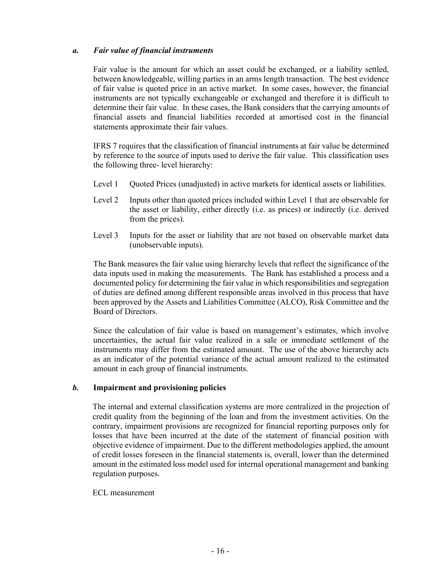## *a. Fair value of financial instruments*

Fair value is the amount for which an asset could be exchanged, or a liability settled, between knowledgeable, willing parties in an arms length transaction. The best evidence of fair value is quoted price in an active market. In some cases, however, the financial instruments are not typically exchangeable or exchanged and therefore it is difficult to determine their fair value. In these cases, the Bank considers that the carrying amounts of financial assets and financial liabilities recorded at amortised cost in the financial statements approximate their fair values.

IFRS 7 requires that the classification of financial instruments at fair value be determined by reference to the source of inputs used to derive the fair value. This classification uses the following three- level hierarchy:

- Level 1 Quoted Prices (unadjusted) in active markets for identical assets or liabilities.
- Level 2 Inputs other than quoted prices included within Level 1 that are observable for the asset or liability, either directly (i.e. as prices) or indirectly (i.e. derived from the prices).
- Level 3 Inputs for the asset or liability that are not based on observable market data (unobservable inputs).

The Bank measures the fair value using hierarchy levels that reflect the significance of the data inputs used in making the measurements. The Bank has established a process and a documented policy for determining the fair value in which responsibilities and segregation of duties are defined among different responsible areas involved in this process that have been approved by the Assets and Liabilities Committee (ALCO), Risk Committee and the Board of Directors.

Since the calculation of fair value is based on management's estimates, which involve uncertainties, the actual fair value realized in a sale or immediate settlement of the instruments may differ from the estimated amount. The use of the above hierarchy acts as an indicator of the potential variance of the actual amount realized to the estimated amount in each group of financial instruments.

## *b.* **Impairment and provisioning policies**

The internal and external classification systems are more centralized in the projection of credit quality from the beginning of the loan and from the investment activities. On the contrary, impairment provisions are recognized for financial reporting purposes only for losses that have been incurred at the date of the statement of financial position with objective evidence of impairment. Due to the different methodologies applied, the amount of credit losses foreseen in the financial statements is, overall, lower than the determined amount in the estimated loss model used for internal operational management and banking regulation purposes.

## ECL measurement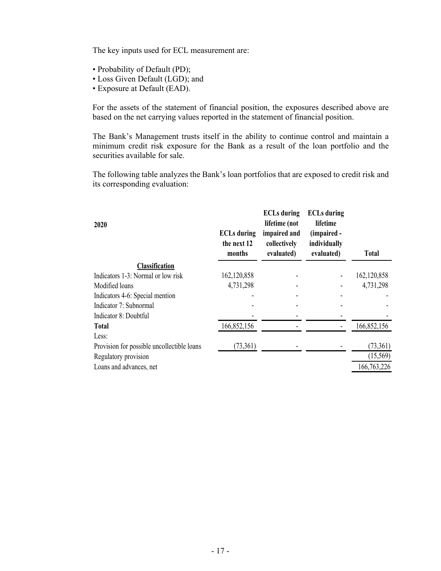The key inputs used for ECL measurement are:

- Probability of Default (PD);
- Loss Given Default (LGD); and
- Exposure at Default (EAD).

For the assets of the statement of financial position, the exposures described above are based on the net carrying values reported in the statement of financial position.

The Bank's Management trusts itself in the ability to continue control and maintain a minimum credit risk exposure for the Bank as a result of the loan portfolio and the securities available for sale.

The following table analyzes the Bank's loan portfolios that are exposed to credit risk and its corresponding evaluation:

| 2020                                       | <b>ECLs</b> during<br>the next 12<br>months | <b>ECLs</b> during<br>lifetime (not<br>impaired and<br>collectively<br>evaluated) | <b>ECLs</b> during<br>lifetime<br>(impaired -<br>individually<br>evaluated) | <b>Total</b> |
|--------------------------------------------|---------------------------------------------|-----------------------------------------------------------------------------------|-----------------------------------------------------------------------------|--------------|
| <b>Classification</b>                      |                                             |                                                                                   |                                                                             |              |
| Indicators 1-3: Normal or low risk         | 162,120,858                                 |                                                                                   |                                                                             | 162,120,858  |
| Modified loans                             | 4,731,298                                   |                                                                                   |                                                                             | 4,731,298    |
| Indicators 4-6: Special mention            |                                             |                                                                                   |                                                                             |              |
| Indicator 7: Subnormal                     |                                             |                                                                                   |                                                                             |              |
| Indicator 8: Doubtful                      |                                             |                                                                                   |                                                                             |              |
| <b>Total</b>                               | 166,852,156                                 |                                                                                   |                                                                             | 166,852,156  |
| Less:                                      |                                             |                                                                                   |                                                                             |              |
| Provision for possible uncollectible loans | (73,361)                                    |                                                                                   |                                                                             | (73,361)     |
| Regulatory provision                       |                                             |                                                                                   |                                                                             | (15,569)     |
| Loans and advances, net                    |                                             |                                                                                   |                                                                             | 166,763,226  |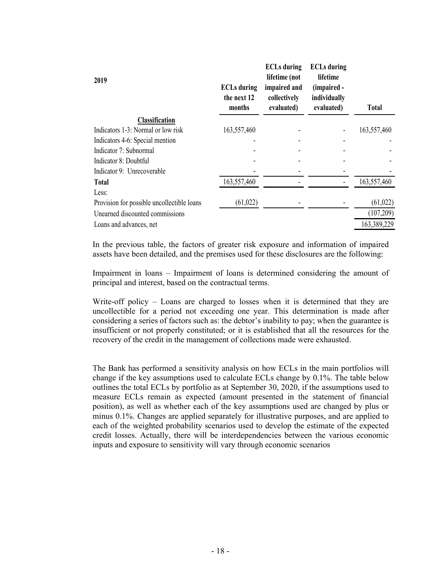| 2019                                       | <b>ECLs</b> during<br>the next 12<br>months | <b>ECLs</b> during<br>lifetime (not<br>impaired and<br>collectively<br>evaluated) | <b>ECLs</b> during<br>lifetime<br>(impaired -<br>individually<br>evaluated) | <b>Total</b> |
|--------------------------------------------|---------------------------------------------|-----------------------------------------------------------------------------------|-----------------------------------------------------------------------------|--------------|
| Classification                             |                                             |                                                                                   |                                                                             |              |
| Indicators 1-3: Normal or low risk         | 163,557,460                                 |                                                                                   |                                                                             | 163,557,460  |
| Indicators 4-6: Special mention            |                                             |                                                                                   |                                                                             |              |
| Indicator 7: Subnormal                     |                                             |                                                                                   |                                                                             |              |
| Indicator 8: Doubtful                      |                                             |                                                                                   |                                                                             |              |
| Indicator 9: Unrecoverable                 |                                             |                                                                                   |                                                                             |              |
| <b>Total</b>                               | 163,557,460                                 |                                                                                   |                                                                             | 163,557,460  |
| Less:                                      |                                             |                                                                                   |                                                                             |              |
| Provision for possible uncollectible loans | (61,022)                                    |                                                                                   |                                                                             | (61, 022)    |
| Unearned discounted commissions            |                                             |                                                                                   |                                                                             | (107,209)    |
| Loans and advances, net                    |                                             |                                                                                   |                                                                             | 163,389,229  |
|                                            |                                             |                                                                                   |                                                                             |              |

In the previous table, the factors of greater risk exposure and information of impaired assets have been detailed, and the premises used for these disclosures are the following:

Impairment in loans – Impairment of loans is determined considering the amount of principal and interest, based on the contractual terms.

Write-off policy – Loans are charged to losses when it is determined that they are uncollectible for a period not exceeding one year. This determination is made after considering a series of factors such as: the debtor's inability to pay; when the guarantee is insufficient or not properly constituted; or it is established that all the resources for the recovery of the credit in the management of collections made were exhausted.

The Bank has performed a sensitivity analysis on how ECLs in the main portfolios will change if the key assumptions used to calculate ECLs change by 0.1%. The table below outlines the total ECLs by portfolio as at September 30, 2020, if the assumptions used to measure ECLs remain as expected (amount presented in the statement of financial position), as well as whether each of the key assumptions used are changed by plus or minus 0.1%. Changes are applied separately for illustrative purposes, and are applied to each of the weighted probability scenarios used to develop the estimate of the expected credit losses. Actually, there will be interdependencies between the various economic inputs and exposure to sensitivity will vary through economic scenarios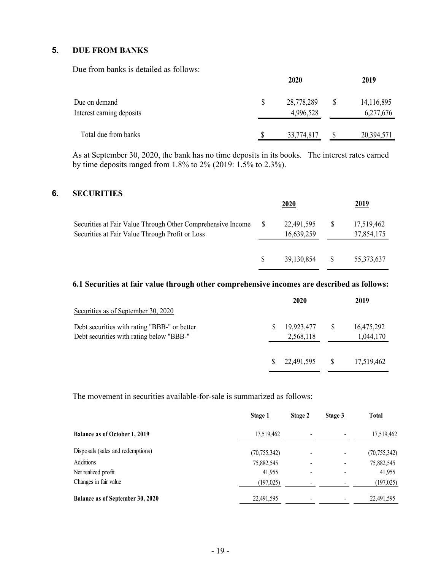## **5. DUE FROM BANKS**

Due from banks is detailed as follows:

|                                            | 2020                    | 2019                    |
|--------------------------------------------|-------------------------|-------------------------|
| Due on demand<br>Interest earning deposits | 28,778,289<br>4,996,528 | 14,116,895<br>6,277,676 |
| Total due from banks                       | 33,774,817              | 20,394,571              |

As at September 30, 2020, the bank has no time deposits in its books. The interest rates earned by time deposits ranged from 1.8% to 2% (2019:  $1.5\%$  to 2.3%).

## **6. SECURITIES**

|                                                                                                                |    | <b>2020</b>              | 2019         |                          |  |
|----------------------------------------------------------------------------------------------------------------|----|--------------------------|--------------|--------------------------|--|
| Securities at Fair Value Through Other Comprehensive Income<br>Securities at Fair Value Through Profit or Loss | S. | 22,491,595<br>16,639,259 | -S           | 17,519,462<br>37,854,175 |  |
|                                                                                                                |    | 39,130,854               | <sup>S</sup> | 55, 373, 637             |  |

# **6.1 Securities at fair value through other comprehensive incomes are described as follows:**

|                                                                                          |   | 2020                         |               | 2019                                    |  |
|------------------------------------------------------------------------------------------|---|------------------------------|---------------|-----------------------------------------|--|
| Securities as of September 30, 2020                                                      |   |                              |               |                                         |  |
| Debt securities with rating "BBB-" or better<br>Debt securities with rating below "BBB-" |   | 19,923,477<br>S<br>2,568,118 |               | 16,475,292<br><sup>S</sup><br>1,044,170 |  |
|                                                                                          | S | 22,491,595                   | <sup>\$</sup> | 17,519,462                              |  |

The movement in securities available-for-sale is summarized as follows:

|                                      | Stage 1        | Stage 2 | Stage 3 | <b>Total</b>   |
|--------------------------------------|----------------|---------|---------|----------------|
| <b>Balance as of October 1, 2019</b> | 17,519,462     |         |         | 17,519,462     |
| Disposals (sales and redemptions)    | (70, 755, 342) |         |         | (70, 755, 342) |
| <b>Additions</b>                     | 75,882,545     |         |         | 75,882,545     |
| Net realized profit                  | 41,955         |         |         | 41,955         |
| Changes in fair value                | (197, 025)     |         |         | (197, 025)     |
| Balance as of September 30, 2020     | 22,491,595     |         |         | 22,491,595     |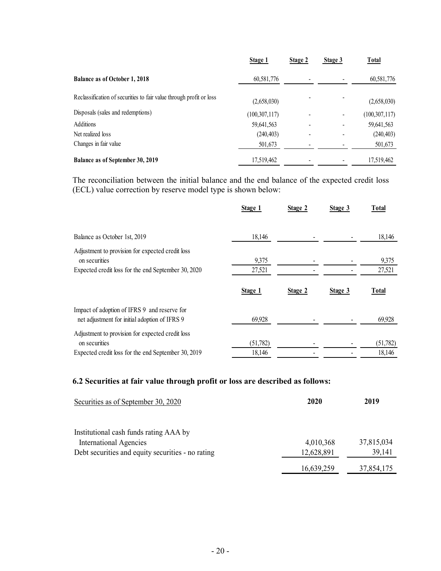|                                                                     | Stage 1         | Stage 2 | Stage 3 | <b>Total</b>    |
|---------------------------------------------------------------------|-----------------|---------|---------|-----------------|
| <b>Balance as of October 1, 2018</b>                                | 60,581,776      |         |         | 60,581,776      |
| Reclassification of securities to fair value through profit or loss | (2,658,030)     |         |         | (2,658,030)     |
| Disposals (sales and redemptions)                                   | (100, 307, 117) |         |         | (100, 307, 117) |
| <b>Additions</b>                                                    | 59,641,563      |         | ۰       | 59,641,563      |
| Net realized loss                                                   | (240, 403)      |         |         | (240, 403)      |
| Changes in fair value                                               | 501,673         |         |         | 501,673         |
| Balance as of September 30, 2019                                    | 17,519,462      |         |         | 17,519,462      |

The reconciliation between the initial balance and the end balance of the expected credit loss (ECL) value correction by reserve model type is shown below:

| Stage 1         | Stage 2 |         | Total           |
|-----------------|---------|---------|-----------------|
| 18,146          |         |         | 18,146          |
| 9,375<br>27,521 |         |         | 9,375<br>27,521 |
| Stage 1         | Stage 2 | Stage 3 | <b>Total</b>    |
| 69,928          |         |         | 69,928          |
| (51,782)        |         |         | (51, 782)       |
|                 |         |         | Stage 3         |

## **6.2 Securities at fair value through profit or loss are described as follows:**

| Securities as of September 30, 2020               | 2020       | 2019       |
|---------------------------------------------------|------------|------------|
| Institutional cash funds rating AAA by            |            |            |
| <b>International Agencies</b>                     | 4,010,368  | 37,815,034 |
| Debt securities and equity securities - no rating | 12,628,891 | 39,141     |
|                                                   | 16,639,259 | 37,854,175 |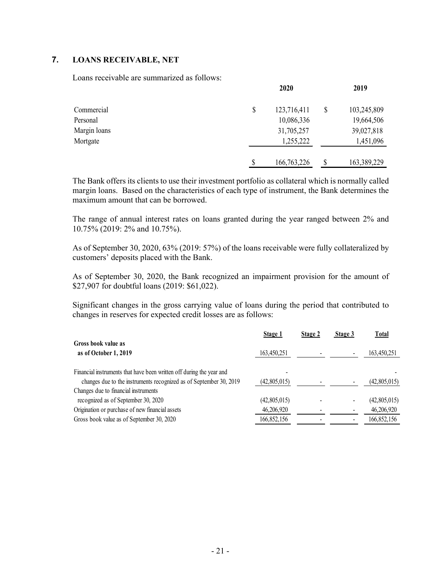## **7. LOANS RECEIVABLE, NET**

Loans receivable are summarized as follows:

|              | 2020              | 2019              |
|--------------|-------------------|-------------------|
| Commercial   | \$<br>123,716,411 | \$<br>103,245,809 |
| Personal     | 10,086,336        | 19,664,506        |
| Margin loans | 31,705,257        | 39,027,818        |
| Mortgate     | 1,255,222         | 1,451,096         |
|              | \$<br>166,763,226 | \$<br>163,389,229 |

The Bank offers its clients to use their investment portfolio as collateral which is normally called margin loans. Based on the characteristics of each type of instrument, the Bank determines the maximum amount that can be borrowed.

The range of annual interest rates on loans granted during the year ranged between 2% and 10.75% (2019: 2% and 10.75%).

As of September 30, 2020, 63% (2019: 57%) of the loans receivable were fully collateralized by customers' deposits placed with the Bank.

As of September 30, 2020, the Bank recognized an impairment provision for the amount of \$27,907 for doubtful loans (2019: \$61,022).

Significant changes in the gross carrying value of loans during the period that contributed to changes in reserves for expected credit losses are as follows:

|                                                                      | Stage 1      | Stage 2 | Stage 3 | Total        |
|----------------------------------------------------------------------|--------------|---------|---------|--------------|
| Gross book value as                                                  |              |         |         |              |
| as of October 1, 2019                                                | 163,450,251  |         |         | 163,450,251  |
| Financial instruments that have been written off during the year and |              |         |         |              |
| changes due to the instruments recognized as of September 30, 2019   | (42,805,015) |         |         | (42,805,015) |
| Changes due to financial instruments                                 |              |         |         |              |
| recognized as of September 30, 2020                                  | (42,805,015) |         |         | (42,805,015) |
| Origination or purchase of new financial assets                      | 46,206,920   |         |         | 46,206,920   |
| Gross book value as of September 30, 2020                            | 166,852,156  |         |         | 166,852,156  |
|                                                                      |              |         |         |              |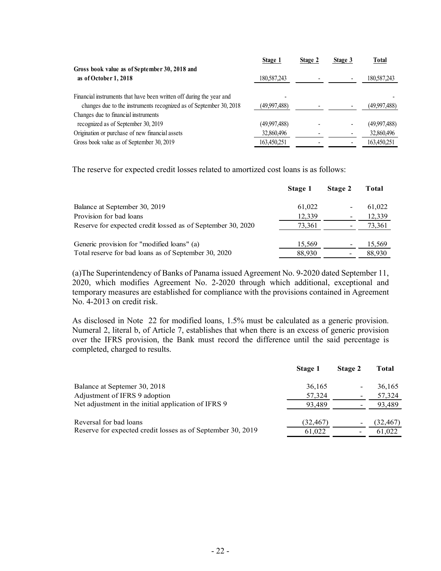|                                                                        | Stage 1      | Stage 2 | Stage 3 | Total        |
|------------------------------------------------------------------------|--------------|---------|---------|--------------|
| Gross book value as of September 30, 2018 and<br>as of October 1, 2018 | 180,587,243  |         |         | 180,587,243  |
|                                                                        |              |         |         |              |
| Financial instruments that have been written off during the year and   |              |         |         |              |
| changes due to the instruments recognized as of September 30, 2018     | (49.997,488) |         |         | (49,997,488) |
| Changes due to financial instruments                                   |              |         |         |              |
| recognized as of September 30, 2019                                    | (49,997,488) |         |         | (49,997,488) |
| Origination or purchase of new financial assets                        | 32,860,496   |         |         | 32,860,496   |
| Gross book value as of September 30, 2019                              | 163,450,251  |         |         | 163,450,251  |
|                                                                        |              |         |         |              |

The reserve for expected credit losses related to amortized cost loans is as follows:

|                                                             | Stage 1 | Stage 2 | Total  |
|-------------------------------------------------------------|---------|---------|--------|
| Balance at September 30, 2019                               | 61,022  |         | 61,022 |
| Provision for bad loans                                     | 12,339  |         | 12,339 |
| Reserve for expected credit lossed as of September 30, 2020 | 73,361  |         | 73,361 |
|                                                             |         |         |        |
| Generic provision for "modified loans" (a)                  | 15,569  |         | 15,569 |
| Total reserve for bad loans as of September 30, 2020        | 88,930  |         | 88,930 |

(a)The Superintendency of Banks of Panama issued Agreement No. 9-2020 dated September 11, 2020, which modifies Agreement No. 2-2020 through which additional, exceptional and temporary measures are established for compliance with the provisions contained in Agreement No. 4-2013 on credit risk.

As disclosed in Note 22 for modified loans, 1.5% must be calculated as a generic provision. Numeral 2, literal b, of Article 7, establishes that when there is an excess of generic provision over the IFRS provision, the Bank must record the difference until the said percentage is completed, charged to results.

|                                                             | Stage 1   | Stage 2                  | <b>Total</b> |
|-------------------------------------------------------------|-----------|--------------------------|--------------|
| Balance at Septemer 30, 2018                                | 36,165    | $\overline{\phantom{a}}$ | 36,165       |
| Adjustment of IFRS 9 adoption                               | 57,324    | $\blacksquare$           | 57,324       |
| Net adjustment in the initial application of IFRS 9         | 93.489    |                          | 93,489       |
| Reversal for bad loans                                      | (32, 467) |                          | (32, 467)    |
| Reserve for expected credit losses as of September 30, 2019 | 61,022    |                          | 61,022       |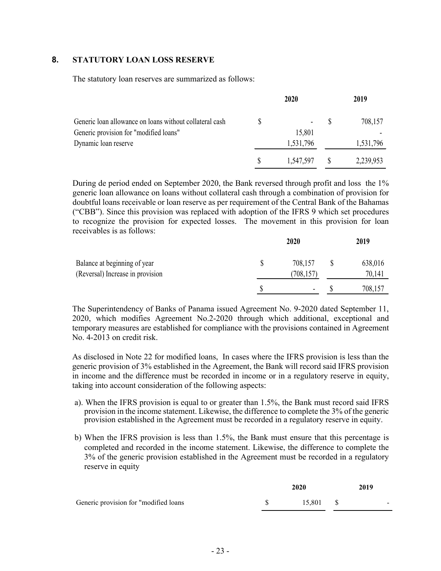## **8. STATUTORY LOAN LOSS RESERVE**

The statutory loan reserves are summarized as follows:

|                                                         | <b>2020</b> | 2019      |
|---------------------------------------------------------|-------------|-----------|
| Generic loan allowance on loans without collateral cash |             | 708,157   |
| Generic provision for "modified loans"                  | 15,801      |           |
| Dynamic loan reserve                                    | 1,531,796   | 1,531,796 |
|                                                         | 1,547,597   | 2,239,953 |

During de period ended on September 2020, the Bank reversed through profit and loss the 1% generic loan allowance on loans without collateral cash through a combination of provision for doubtful loans receivable or loan reserve as per requirement of the Central Bank of the Bahamas ("CBB"). Since this provision was replaced with adoption of the IFRS 9 which set procedures to recognize the provision for expected losses. The movement in this provision for loan receivables is as follows:

|                                                                  |   | 2020                  |  |                   |
|------------------------------------------------------------------|---|-----------------------|--|-------------------|
| Balance at beginning of year<br>(Reversal) Increase in provision |   | 708,157<br>(708, 157) |  | 638,016<br>70,141 |
|                                                                  | S |                       |  | 708,157           |

The Superintendency of Banks of Panama issued Agreement No. 9-2020 dated September 11, 2020, which modifies Agreement No.2-2020 through which additional, exceptional and temporary measures are established for compliance with the provisions contained in Agreement No. 4-2013 on credit risk.

As disclosed in Note 22 for modified loans, In cases where the IFRS provision is less than the generic provision of 3% established in the Agreement, the Bank will record said IFRS provision in income and the difference must be recorded in income or in a regulatory reserve in equity, taking into account consideration of the following aspects:

- a). When the IFRS provision is equal to or greater than 1.5%, the Bank must record said IFRS provision in the income statement. Likewise, the difference to complete the 3% of the generic provision established in the Agreement must be recorded in a regulatory reserve in equity.
- b) When the IFRS provision is less than 1.5%, the Bank must ensure that this percentage is completed and recorded in the income statement. Likewise, the difference to complete the 3% of the generic provision established in the Agreement must be recorded in a regulatory reserve in equity

|                                       | 2020     | 2019 |        |
|---------------------------------------|----------|------|--------|
| Generic provision for "modified loans | 15.801 S |      | $\sim$ |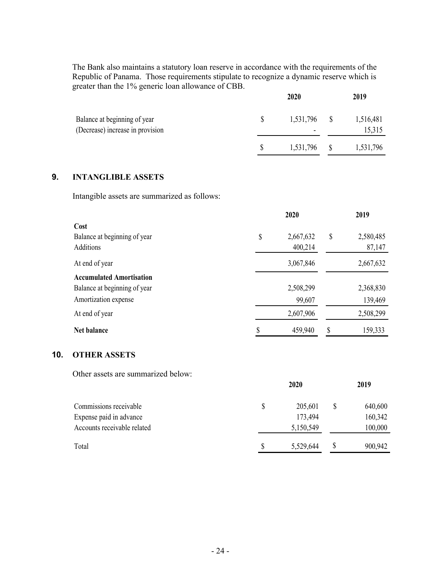The Bank also maintains a statutory loan reserve in accordance with the requirements of the Republic of Panama. Those requirements stipulate to recognize a dynamic reserve which is greater than the 1% generic loan allowance of CBB.

|                                                                  | 2020           | 2019                |
|------------------------------------------------------------------|----------------|---------------------|
| Balance at beginning of year<br>(Decrease) increase in provision | $1,531,796$ \$ | 1,516,481<br>15,315 |
|                                                                  | 1,531,796 \$   | 1,531,796           |

# **9. INTANGLIBLE ASSETS**

Intangible assets are summarized as follows:

|                                 | 2020 |           |    | 2019      |
|---------------------------------|------|-----------|----|-----------|
| Cost                            |      |           |    |           |
| Balance at beginning of year    | \$   | 2,667,632 | S  | 2,580,485 |
| <b>Additions</b>                |      | 400,214   |    | 87,147    |
| At end of year                  |      | 3,067,846 |    | 2,667,632 |
| <b>Accumulated Amortisation</b> |      |           |    |           |
| Balance at beginning of year    |      | 2,508,299 |    | 2,368,830 |
| Amortization expense            |      | 99,607    |    | 139,469   |
| At end of year                  |      | 2,607,906 |    | 2,508,299 |
| Net balance                     |      | 459,940   | \$ | 159,333   |

# **10. OTHER ASSETS**

Other assets are summarized below:

|                             |   | 2019      |               |
|-----------------------------|---|-----------|---------------|
| Commissions receivable      |   | 205,601   | \$<br>640,600 |
| Expense paid in advance     |   | 173,494   | 160,342       |
| Accounts receivable related |   | 5,150,549 | 100,000       |
| Total                       | S | 5,529,644 | \$<br>900,942 |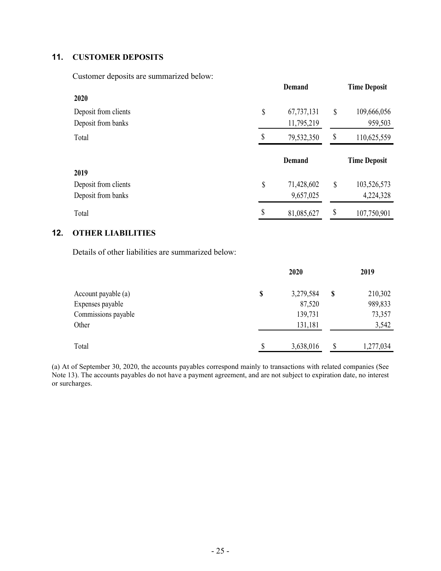# **11. CUSTOMER DEPOSITS**

Customer deposits are summarized below:

|                      | <b>Demand</b>    | <b>Time Deposit</b> |
|----------------------|------------------|---------------------|
| 2020                 |                  |                     |
| Deposit from clients | \$<br>67,737,131 | \$<br>109,666,056   |
| Deposit from banks   | 11,795,219       | 959,503             |
| Total                | \$<br>79,532,350 | \$<br>110,625,559   |
|                      | <b>Demand</b>    | <b>Time Deposit</b> |
| 2019                 |                  |                     |
| Deposit from clients | \$<br>71,428,602 | \$<br>103,526,573   |
| Deposit from banks   | 9,657,025        | 4,224,328           |
| Total                | \$<br>81,085,627 | \$<br>107,750,901   |

## **12. OTHER LIABILITIES**

Details of other liabilities are summarized below:

|                     |    |           | 2019 |           |
|---------------------|----|-----------|------|-----------|
| Account payable (a) | \$ | 3,279,584 | S    | 210,302   |
| Expenses payable    |    | 87,520    |      | 989,833   |
| Commissions payable |    | 139,731   |      | 73,357    |
| Other               |    | 131,181   |      | 3,542     |
| Total               | \$ | 3,638,016 | \$   | 1,277,034 |

(a) At of September 30, 2020, the accounts payables correspond mainly to transactions with related companies (See Note 13). The accounts payables do not have a payment agreement, and are not subject to expiration date, no interest or surcharges.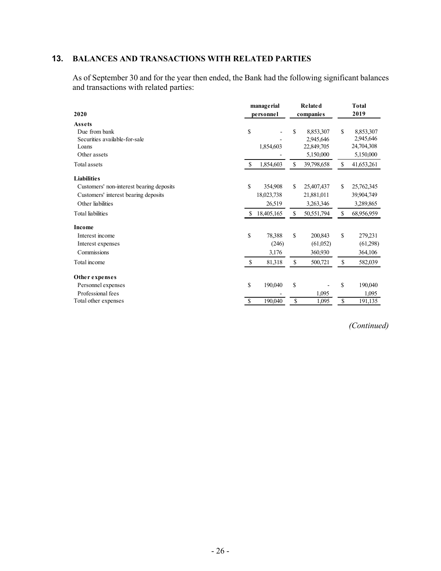# **13. BALANCES AND TRANSACTIONS WITH RELATED PARTIES**

As of September 30 and for the year then ended, the Bank had the following significant balances and transactions with related parties:

|                                          | manage rial   |            | <b>Related</b> | <b>Total</b> |    |            |
|------------------------------------------|---------------|------------|----------------|--------------|----|------------|
| 2020                                     |               | personnel  |                | companies    |    | 2019       |
| <b>Assets</b>                            |               |            |                |              |    |            |
| Due from bank                            | <sup>\$</sup> |            | S              | 8,853,307    | \$ | 8,853,307  |
| Securities available-for-sale            |               |            |                | 2,945,646    |    | 2,945,646  |
| Loans                                    |               | 1,854,603  |                | 22,849,705   |    | 24,704,308 |
| Other assets                             |               |            |                | 5,150,000    |    | 5,150,000  |
| Total assets                             | <sup>\$</sup> | 1,854,603  | \$             | 39,798,658   | \$ | 41,653,261 |
| <b>Liabilities</b>                       |               |            |                |              |    |            |
| Customers' non-interest bearing deposits | $\mathbf S$   | 354,908    | \$             | 25,407,437   | \$ | 25,762,345 |
| Customers' interest bearing deposits     |               | 18,023,738 |                | 21,881,011   |    | 39,904,749 |
| Other liabilities                        |               | 26,519     |                | 3,263,346    |    | 3,289,865  |
| Total liabilities                        | \$            | 18,405,165 | \$             | 50,551,794   | \$ | 68,956,959 |
| <b>Income</b>                            |               |            |                |              |    |            |
| Interest income                          | <sup>\$</sup> | 78,388     | \$             | 200,843      | \$ | 279,231    |
| Interest expenses                        |               | (246)      |                | (61,052)     |    | (61,298)   |
| Commissions                              |               | 3,176      |                | 360,930      |    | 364,106    |
| Total income                             | -S            | 81,318     | \$             | 500,721      | \$ | 582,039    |
| Other expenses                           |               |            |                |              |    |            |
| Personnel expenses                       | \$            | 190,040    | \$             |              | \$ | 190,040    |
| Professional fees                        |               |            |                | 1,095        |    | 1,095      |
| Total other expenses                     | <sup>\$</sup> | 190,040    | \$             | 1,095        | \$ | 191,135    |

*(Continued)*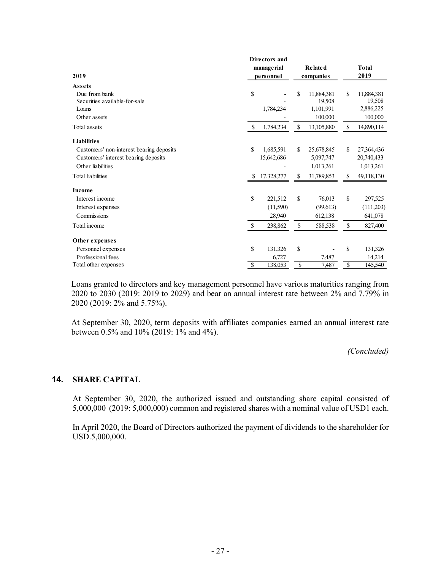| 2019                                                                                                                        |                     | Directors and<br>managerial<br>personnel |                    | Related<br>companies                         |                    | <b>Total</b><br>2019                         |  |
|-----------------------------------------------------------------------------------------------------------------------------|---------------------|------------------------------------------|--------------------|----------------------------------------------|--------------------|----------------------------------------------|--|
| <b>Assets</b><br>Due from bank<br>Securities available-for-sale<br>Loans<br>Other assets                                    | \$                  | 1,784,234                                | \$                 | 11,884,381<br>19.508<br>1,101,991<br>100,000 | \$                 | 11,884,381<br>19,508<br>2,886,225<br>100,000 |  |
| Total assets                                                                                                                | \$                  | 1,784,234                                | S                  | 13,105,880                                   | \$                 | 14,890,114                                   |  |
| <b>Liabilities</b><br>Customers' non-interest bearing deposits<br>Customers' interest bearing deposits<br>Other liabilities | \$                  | 1,685,591<br>15,642,686                  | \$                 | 25,678,845<br>5,097,747<br>1,013,261         | \$                 | 27,364,436<br>20,740,433<br>1,013,261        |  |
| <b>Total</b> liabilities                                                                                                    | \$                  | 17,328,277                               | \$                 | 31,789,853                                   | \$                 | 49,118,130                                   |  |
| Income<br>Interest income<br>Interest expenses<br>Commissions<br>Total income                                               | \$<br><sup>\$</sup> | 221,512<br>(11,590)<br>28,940<br>238,862 | \$<br>$\mathbb{S}$ | 76,013<br>(99, 613)<br>612,138<br>588,538    | \$<br>$\mathbb{S}$ | 297,525<br>(111,203)<br>641,078<br>827,400   |  |
| Other expenses<br>Personnel expenses                                                                                        | \$                  | 131,326                                  | \$                 |                                              | \$                 | 131,326                                      |  |
| Professional fees<br>Total other expenses                                                                                   | \$                  | 6,727<br>138,053                         | \$                 | 7,487<br>7,487                               | $\mathbb{S}$       | 14,214<br>145,540                            |  |

Loans granted to directors and key management personnel have various maturities ranging from 2020 to 2030 (2019: 2019 to 2029) and bear an annual interest rate between 2% and 7.79% in 2020 (2019: 2% and 5.75%).

At September 30, 2020, term deposits with affiliates companies earned an annual interest rate between 0.5% and 10% (2019: 1% and 4%).

## *(Concluded)*

## **14. SHARE CAPITAL**

At September 30, 2020, the authorized issued and outstanding share capital consisted of 5,000,000 (2019: 5,000,000) common and registered shares with a nominal value of USD1 each.

In April 2020, the Board of Directors authorized the payment of dividends to the shareholder for USD.5,000,000.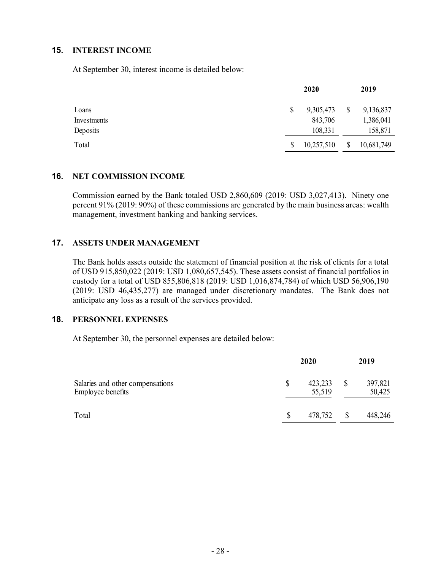## **15. INTEREST INCOME**

At September 30, interest income is detailed below:

|             | 2020 |            |              |  |            |
|-------------|------|------------|--------------|--|------------|
| Loans       |      | 9,305,473  | $\mathbb{S}$ |  | 9,136,837  |
| Investments |      | 843,706    |              |  | 1,386,041  |
| Deposits    |      | 108,331    |              |  | 158,871    |
| Total       |      | 10,257,510 | \$           |  | 10,681,749 |

## **16. NET COMMISSION INCOME**

Commission earned by the Bank totaled USD 2,860,609 (2019: USD 3,027,413). Ninety one percent 91% (2019: 90%) of these commissions are generated by the main business areas: wealth management, investment banking and banking services.

## **17. ASSETS UNDER MANAGEMENT**

The Bank holds assets outside the statement of financial position at the risk of clients for a total of USD 915,850,022 (2019: USD 1,080,657,545). These assets consist of financial portfolios in custody for a total of USD 855,806,818 (2019: USD 1,016,874,784) of which USD 56,906,190 (2019: USD 46,435,277) are managed under discretionary mandates. The Bank does not anticipate any loss as a result of the services provided.

## **18. PERSONNEL EXPENSES**

At September 30, the personnel expenses are detailed below:

|                                                       | 2020 |                   |    |                   |
|-------------------------------------------------------|------|-------------------|----|-------------------|
| Salaries and other compensations<br>Employee benefits | \$   | 423,233<br>55,519 | -S | 397,821<br>50,425 |
| Total                                                 | \$   | 478,752           |    | 448,246           |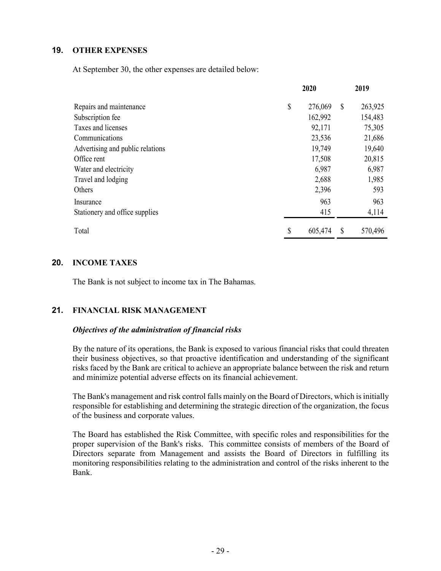## **19. OTHER EXPENSES**

At September 30, the other expenses are detailed below:

|                                  | 2020 |         |    | 2019    |
|----------------------------------|------|---------|----|---------|
| Repairs and maintenance          | \$   | 276,069 | \$ | 263,925 |
| Subscription fee                 |      | 162,992 |    | 154,483 |
| Taxes and licenses               |      | 92,171  |    | 75,305  |
| Communications                   |      | 23,536  |    | 21,686  |
| Advertising and public relations |      | 19,749  |    | 19,640  |
| Office rent                      |      | 17,508  |    | 20,815  |
| Water and electricity            |      | 6,987   |    | 6,987   |
| Travel and lodging               |      | 2,688   |    | 1,985   |
| Others                           |      | 2,396   |    | 593     |
| Insurance                        |      | 963     |    | 963     |
| Stationery and office supplies   |      | 415     |    | 4,114   |
| Total                            | \$   | 605,474 | S  | 570,496 |

## **20. INCOME TAXES**

The Bank is not subject to income tax in The Bahamas.

# **21. FINANCIAL RISK MANAGEMENT**

## *Objectives of the administration of financial risks*

By the nature of its operations, the Bank is exposed to various financial risks that could threaten their business objectives, so that proactive identification and understanding of the significant risks faced by the Bank are critical to achieve an appropriate balance between the risk and return and minimize potential adverse effects on its financial achievement.

The Bank's management and risk control falls mainly on the Board of Directors, which is initially responsible for establishing and determining the strategic direction of the organization, the focus of the business and corporate values.

The Board has established the Risk Committee, with specific roles and responsibilities for the proper supervision of the Bank's risks. This committee consists of members of the Board of Directors separate from Management and assists the Board of Directors in fulfilling its monitoring responsibilities relating to the administration and control of the risks inherent to the Bank.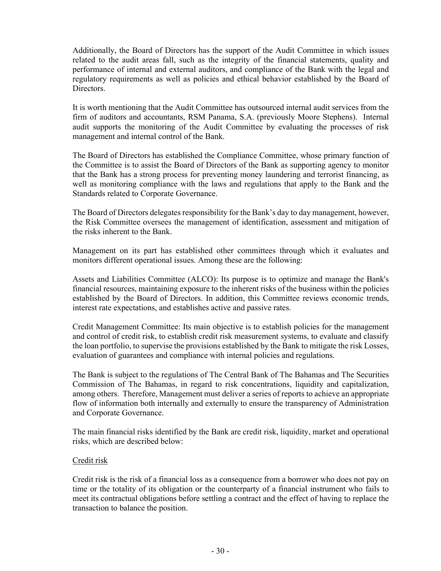Additionally, the Board of Directors has the support of the Audit Committee in which issues related to the audit areas fall, such as the integrity of the financial statements, quality and performance of internal and external auditors, and compliance of the Bank with the legal and regulatory requirements as well as policies and ethical behavior established by the Board of Directors.

It is worth mentioning that the Audit Committee has outsourced internal audit services from the firm of auditors and accountants, RSM Panama, S.A. (previously Moore Stephens). Internal audit supports the monitoring of the Audit Committee by evaluating the processes of risk management and internal control of the Bank.

The Board of Directors has established the Compliance Committee, whose primary function of the Committee is to assist the Board of Directors of the Bank as supporting agency to monitor that the Bank has a strong process for preventing money laundering and terrorist financing, as well as monitoring compliance with the laws and regulations that apply to the Bank and the Standards related to Corporate Governance.

The Board of Directors delegates responsibility for the Bank's day to day management, however, the Risk Committee oversees the management of identification, assessment and mitigation of the risks inherent to the Bank.

Management on its part has established other committees through which it evaluates and monitors different operational issues. Among these are the following:

Assets and Liabilities Committee (ALCO): Its purpose is to optimize and manage the Bank's financial resources, maintaining exposure to the inherent risks of the business within the policies established by the Board of Directors. In addition, this Committee reviews economic trends, interest rate expectations, and establishes active and passive rates.

Credit Management Committee: Its main objective is to establish policies for the management and control of credit risk, to establish credit risk measurement systems, to evaluate and classify the loan portfolio, to supervise the provisions established by the Bank to mitigate the risk Losses, evaluation of guarantees and compliance with internal policies and regulations.

The Bank is subject to the regulations of The Central Bank of The Bahamas and The Securities Commission of The Bahamas, in regard to risk concentrations, liquidity and capitalization, among others. Therefore, Management must deliver a series of reports to achieve an appropriate flow of information both internally and externally to ensure the transparency of Administration and Corporate Governance.

The main financial risks identified by the Bank are credit risk, liquidity, market and operational risks, which are described below:

## Credit risk

Credit risk is the risk of a financial loss as a consequence from a borrower who does not pay on time or the totality of its obligation or the counterparty of a financial instrument who fails to meet its contractual obligations before settling a contract and the effect of having to replace the transaction to balance the position.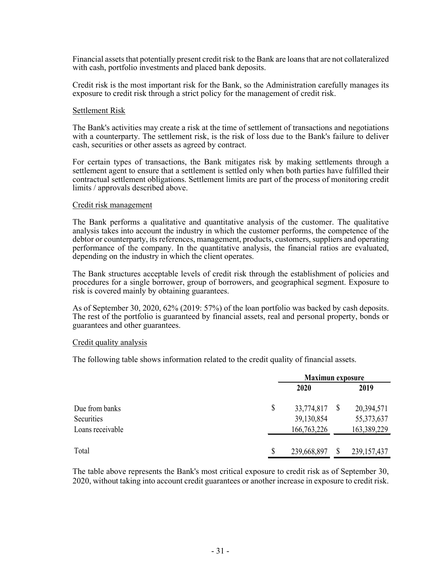Financial assets that potentially present credit risk to the Bank are loans that are not collateralized with cash, portfolio investments and placed bank deposits.

Credit risk is the most important risk for the Bank, so the Administration carefully manages its exposure to credit risk through a strict policy for the management of credit risk.

#### Settlement Risk

The Bank's activities may create a risk at the time of settlement of transactions and negotiations with a counterparty. The settlement risk, is the risk of loss due to the Bank's failure to deliver cash, securities or other assets as agreed by contract.

For certain types of transactions, the Bank mitigates risk by making settlements through a settlement agent to ensure that a settlement is settled only when both parties have fulfilled their contractual settlement obligations. Settlement limits are part of the process of monitoring credit limits / approvals described above.

#### Credit risk management

The Bank performs a qualitative and quantitative analysis of the customer. The qualitative analysis takes into account the industry in which the customer performs, the competence of the debtor or counterparty, its references, management, products, customers, suppliers and operating performance of the company. In the quantitative analysis, the financial ratios are evaluated, depending on the industry in which the client operates.

The Bank structures acceptable levels of credit risk through the establishment of policies and procedures for a single borrower, group of borrowers, and geographical segment. Exposure to risk is covered mainly by obtaining guarantees.

As of September 30, 2020, 62% (2019: 57%) of the loan portfolio was backed by cash deposits. The rest of the portfolio is guaranteed by financial assets, real and personal property, bonds or guarantees and other guarantees.

#### Credit quality analysis

The following table shows information related to the credit quality of financial assets.

|                  | <b>Maximun</b> exposure |     |               |  |  |  |
|------------------|-------------------------|-----|---------------|--|--|--|
|                  | 2020                    |     | 2019          |  |  |  |
| Due from banks   | \$<br>33,774,817        | - S | 20,394,571    |  |  |  |
| Securities       | 39,130,854              |     | 55,373,637    |  |  |  |
| Loans receivable | 166,763,226             |     | 163,389,229   |  |  |  |
|                  |                         |     |               |  |  |  |
| Total            | 239,668,897             |     | 239, 157, 437 |  |  |  |

The table above represents the Bank's most critical exposure to credit risk as of September 30, 2020, without taking into account credit guarantees or another increase in exposure to credit risk.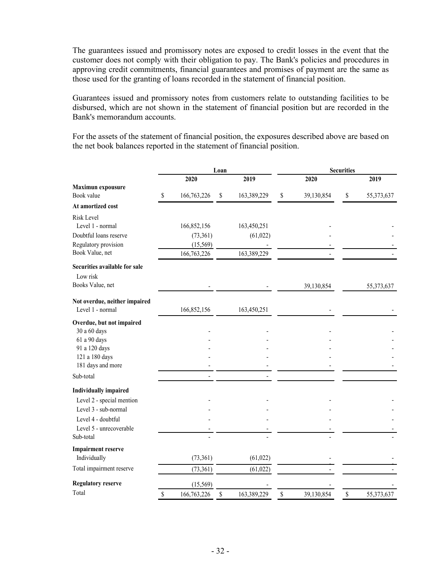The guarantees issued and promissory notes are exposed to credit losses in the event that the customer does not comply with their obligation to pay. The Bank's policies and procedures in approving credit commitments, financial guarantees and promises of payment are the same as those used for the granting of loans recorded in the statement of financial position.

Guarantees issued and promissory notes from customers relate to outstanding facilities to be disbursed, which are not shown in the statement of financial position but are recorded in the Bank's memorandum accounts.

For the assets of the statement of financial position, the exposures described above are based on the net book balances reported in the statement of financial position.

| Loan                                   |               |             |                           |             |             | <b>Securities</b> |              |            |  |  |  |  |
|----------------------------------------|---------------|-------------|---------------------------|-------------|-------------|-------------------|--------------|------------|--|--|--|--|
|                                        |               | 2020        |                           | 2019        |             | 2020              |              | 2019       |  |  |  |  |
| <b>Maximun expousure</b><br>Book value | $\$$          | 166,763,226 | $\$$                      | 163,389,229 | $\mathbb S$ | 39,130,854        | $\mathbb S$  | 55,373,637 |  |  |  |  |
| At amortized cost                      |               |             |                           |             |             |                   |              |            |  |  |  |  |
| Risk Level                             |               |             |                           |             |             |                   |              |            |  |  |  |  |
| Level 1 - normal                       |               | 166,852,156 |                           | 163,450,251 |             |                   |              |            |  |  |  |  |
| Doubtful loans reserve                 |               | (73,361)    |                           | (61, 022)   |             |                   |              |            |  |  |  |  |
| Regulatory provision                   |               | (15,569)    |                           |             |             |                   |              |            |  |  |  |  |
| Book Value, net                        |               | 166,763,226 |                           | 163,389,229 |             |                   |              |            |  |  |  |  |
| Securities available for sale          |               |             |                           |             |             |                   |              |            |  |  |  |  |
| Low risk                               |               |             |                           |             |             |                   |              |            |  |  |  |  |
| Books Value, net                       |               |             |                           |             |             | 39,130,854        |              | 55,373,637 |  |  |  |  |
| Not overdue, neither impaired          |               |             |                           |             |             |                   |              |            |  |  |  |  |
| Level 1 - normal                       |               | 166,852,156 |                           | 163,450,251 |             |                   |              |            |  |  |  |  |
| Overdue, but not impaired              |               |             |                           |             |             |                   |              |            |  |  |  |  |
| $30$ a $60$ days                       |               |             |                           |             |             |                   |              |            |  |  |  |  |
| 61 a 90 days                           |               |             |                           |             |             |                   |              |            |  |  |  |  |
| 91 a 120 days                          |               |             |                           |             |             |                   |              |            |  |  |  |  |
| 121 a 180 days                         |               |             |                           |             |             |                   |              |            |  |  |  |  |
| 181 days and more                      |               |             |                           |             |             |                   |              |            |  |  |  |  |
| Sub-total                              |               |             |                           |             |             |                   |              |            |  |  |  |  |
| <b>Individually impaired</b>           |               |             |                           |             |             |                   |              |            |  |  |  |  |
| Level 2 - special mention              |               |             |                           |             |             |                   |              |            |  |  |  |  |
| Level 3 - sub-normal                   |               |             |                           |             |             |                   |              |            |  |  |  |  |
| Level 4 - doubtful                     |               |             |                           |             |             |                   |              |            |  |  |  |  |
| Level 5 - unrecoverable                |               |             |                           |             |             |                   |              |            |  |  |  |  |
| Sub-total                              |               |             |                           |             |             |                   |              |            |  |  |  |  |
| <b>Impairment reserve</b>              |               |             |                           |             |             |                   |              |            |  |  |  |  |
| Individually                           |               | (73, 361)   |                           | (61, 022)   |             |                   |              |            |  |  |  |  |
| Total impairment reserve               |               | (73, 361)   |                           | (61, 022)   |             |                   |              |            |  |  |  |  |
| <b>Regulatory reserve</b>              |               | (15, 569)   |                           |             |             |                   |              |            |  |  |  |  |
| Total                                  | $\mathsf{\$}$ | 166,763,226 | $\boldsymbol{\mathsf{S}}$ | 163,389,229 | \$          | 39,130,854        | $\mathbb{S}$ | 55,373,637 |  |  |  |  |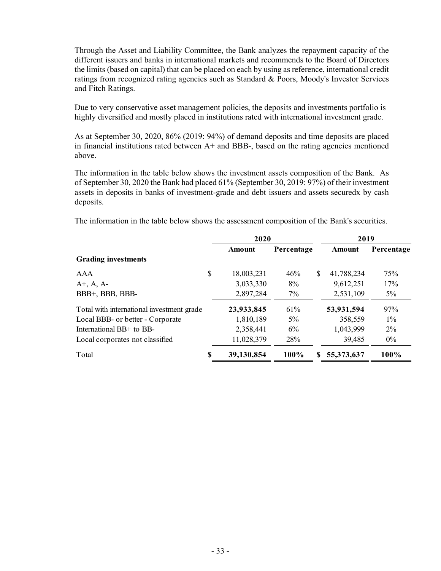Through the Asset and Liability Committee, the Bank analyzes the repayment capacity of the different issuers and banks in international markets and recommends to the Board of Directors the limits (based on capital) that can be placed on each by using as reference, international credit ratings from recognized rating agencies such as Standard & Poors, Moody's Investor Services and Fitch Ratings.

Due to very conservative asset management policies, the deposits and investments portfolio is highly diversified and mostly placed in institutions rated with international investment grade.

As at September 30, 2020, 86% (2019: 94%) of demand deposits and time deposits are placed in financial institutions rated between  $A<sup>+</sup>$  and BBB-, based on the rating agencies mentioned above.

The information in the table below shows the investment assets composition of the Bank. As of September 30, 2020 the Bank had placed 61% (September 30, 2019: 97%) of their investment assets in deposits in banks of investment-grade and debt issuers and assets securedx by cash deposits.

The information in the table below shows the assessment composition of the Bank's securities.

|                                           |    | 2020       |            |    | 2019       |            |  |  |
|-------------------------------------------|----|------------|------------|----|------------|------------|--|--|
|                                           |    | Amount     | Percentage |    | Amount     | Percentage |  |  |
| <b>Grading investments</b>                |    |            |            |    |            |            |  |  |
| AAA                                       | \$ | 18,003,231 | 46%        | \$ | 41,788,234 | 75%        |  |  |
| $A^+, A, A^-$                             |    | 3,033,330  | 8%         |    | 9,612,251  | 17%        |  |  |
| BBB+, BBB, BBB-                           |    | 2,897,284  | $7\%$      |    | 2,531,109  | $5\%$      |  |  |
| Total with international investment grade |    | 23,933,845 | 61%        |    | 53,931,594 | 97%        |  |  |
| Local BBB- or better - Corporate          |    | 1,810,189  | $5\%$      |    | 358,559    | $1\%$      |  |  |
| International BB+ to BB-                  |    | 2,358,441  | 6%         |    | 1,043,999  | $2\%$      |  |  |
| Local corporates not classified           |    | 11,028,379 | 28%        |    | 39,485     | $0\%$      |  |  |
| Total                                     | S  | 39,130,854 | 100%       | S. | 55,373,637 | 100%       |  |  |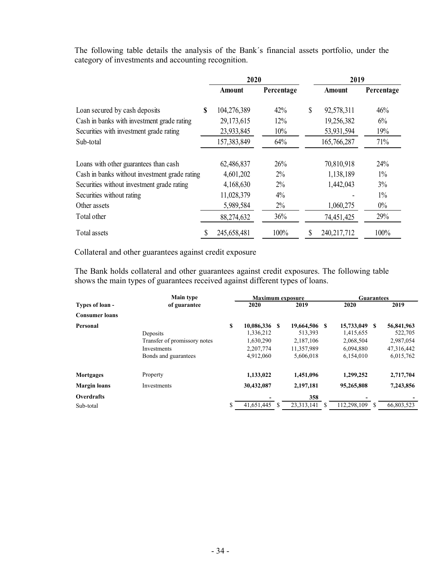The following table details the analysis of the Bank´s financial assets portfolio, under the category of investments and accounting recognition.

|                                               |    | 2020        |            |    | 2019          |            |
|-----------------------------------------------|----|-------------|------------|----|---------------|------------|
|                                               |    | Amount      | Percentage |    | Amount        | Percentage |
| Loan secured by cash deposits                 | \$ | 104,276,389 | 42%        | \$ | 92,578,311    | 46%        |
| Cash in banks with investment grade rating    |    | 29,173,615  | $12\%$     |    | 19,256,382    | 6%         |
| Securities with investment grade rating       |    | 23,933,845  | 10%        |    | 53,931,594    | 19%        |
| Sub-total                                     |    | 157,383,849 | 64%        |    | 165,766,287   | 71%        |
| Loans with other guarantees than cash         |    | 62,486,837  | 26%        |    | 70,810,918    | 24%        |
| Cash in banks without investment grade rating |    | 4,601,202   | 2%         |    | 1,138,189     | $1\%$      |
| Securities without investment grade rating    |    | 4,168,630   | 2%         |    | 1,442,043     | 3%         |
| Securities without rating                     |    | 11,028,379  | 4%         |    |               | $1\%$      |
| Other assets                                  |    | 5,989,584   | $2\%$      |    | 1,060,275     | $0\%$      |
| Total other                                   |    | 88,274,632  | 36%        |    | 74,451,425    | 29%        |
| Total assets                                  | S  | 245,658,481 | 100%       | \$ | 240, 217, 712 | 100%       |

Collateral and other guarantees against credit exposure

The Bank holds collateral and other guarantees against credit exposures. The following table shows the main types of guarantees received against different types of loans.

|                       | <b>Main type</b>             |    | <b>Maximum exposure</b> |     |               |  | <b>Guarantees</b> |     |            |  |
|-----------------------|------------------------------|----|-------------------------|-----|---------------|--|-------------------|-----|------------|--|
| Types of loan -       | of guarantee                 |    | 2020                    |     | 2019          |  | 2020              |     | 2019       |  |
| <b>Consumer loans</b> |                              |    |                         |     |               |  |                   |     |            |  |
| Personal              |                              | \$ | 10,086,336              | -S  | 19,664,506 \$ |  | 15,733,049        | \$. | 56,841,963 |  |
|                       | Deposits                     |    | 1,336,212               |     | 513.393       |  | 1,415,655         |     | 522,705    |  |
|                       | Transfer of promissory notes |    | 1.630.290               |     | 2,187,106     |  | 2,068,504         |     | 2,987,054  |  |
|                       | Investments                  |    | 2,207,774               |     | 11,357,989    |  | 6.094.880         |     | 47,316,442 |  |
|                       | Bonds and guarantees         |    | 4,912,060               |     | 5,606,018     |  | 6,154,010         |     | 6,015,762  |  |
| Mortgages             | Property                     |    | 1,133,022               |     | 1,451,096     |  | 1,299,252         |     | 2,717,704  |  |
| <b>Margin</b> loans   | Investments                  |    | 30,432,087              |     | 2,197,181     |  | 95,265,808        |     | 7,243,856  |  |
| Overdrafts            |                              |    |                         |     | 358           |  |                   |     |            |  |
| Sub-total             |                              | \$ | 41,651,445              | \$. | 23, 313, 141  |  | 112.298.109       | S   | 66,803,523 |  |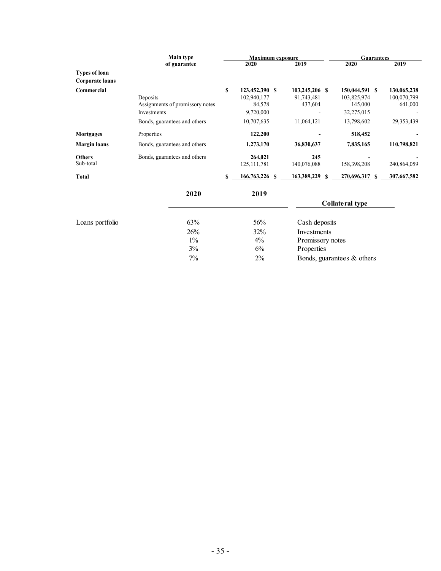|                        | Main type                       | <b>Maximum exposure</b> |                |     |                  | <b>Guarantees</b>             |                    |             |
|------------------------|---------------------------------|-------------------------|----------------|-----|------------------|-------------------------------|--------------------|-------------|
|                        | of guarantee                    |                         | 2020           |     | 2019             | 2020                          |                    | 2019        |
| <b>Types of loan</b>   |                                 |                         |                |     |                  |                               |                    |             |
| <b>Corporate loans</b> |                                 |                         |                |     |                  |                               |                    |             |
| Commercial             |                                 | \$                      | 123,452,390 \$ |     | 103,245,206 \$   | 150,044,591 \$                |                    | 130,065,238 |
|                        | Deposits                        |                         | 102,940,177    |     | 91,743,481       | 103,825,974                   |                    | 100,070,799 |
|                        | Assignments of promissory notes |                         | 84,578         |     | 437,604          | 145,000                       |                    | 641,000     |
|                        | Investments                     |                         | 9,720,000      |     |                  | 32,275,015                    |                    |             |
|                        | Bonds, guarantees and others    |                         | 10,707,635     |     | 11,064,121       | 13,798,602                    |                    | 29,353,439  |
| Mortgages              | Properties                      |                         | 122,200        |     |                  | 518,452                       |                    |             |
| <b>Margin</b> loans    | Bonds, guarantees and others    |                         | 1,273,170      |     | 36,830,637       | 7,835,165                     |                    | 110,798,821 |
| <b>Others</b>          | Bonds, guarantees and others    |                         | 264,021        |     | 245              |                               |                    |             |
| Sub-total              |                                 |                         | 125, 111, 781  |     | 140,076,088      | 158,398,208                   |                    | 240,864,059 |
| <b>Total</b>           |                                 | \$                      | 166,763,226    | \$. | 163,389,229 \$   | 270,696,317                   | $\mathbf{\hat{s}}$ | 307,667,582 |
|                        | 2020                            |                         | 2019           |     |                  |                               |                    |             |
|                        |                                 |                         |                |     |                  | <b>Collateral type</b>        |                    |             |
| Loans portfolio        | 63%                             |                         | 56%            |     | Cash deposits    |                               |                    |             |
|                        | 26%                             |                         | 32%            |     | Investments      |                               |                    |             |
|                        | $1\%$                           |                         | 4%             |     |                  |                               |                    |             |
|                        |                                 |                         |                |     | Promissory notes |                               |                    |             |
|                        | 3%                              |                         | 6%             |     | Properties       |                               |                    |             |
|                        | 7%                              |                         | 2%             |     |                  | Bonds, guarantees $\&$ others |                    |             |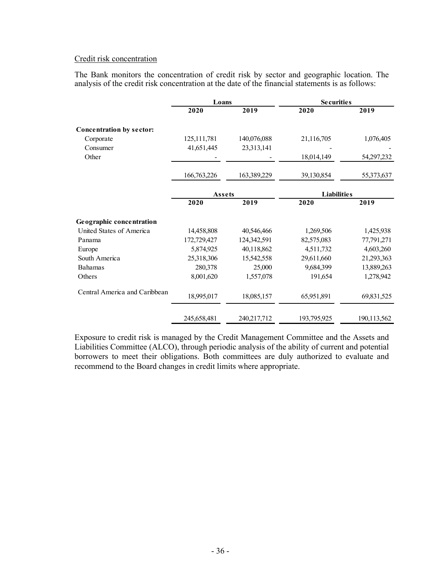#### Credit risk concentration

The Bank monitors the concentration of credit risk by sector and geographic location. The analysis of the credit risk concentration at the date of the financial statements is as follows:

|                               | Loans         |             | <b>Securities</b>  |               |  |  |
|-------------------------------|---------------|-------------|--------------------|---------------|--|--|
|                               | 2020          | 2019        | 2020               | 2019          |  |  |
| Concentration by sector:      |               |             |                    |               |  |  |
| Corporate                     | 125, 111, 781 | 140,076,088 | 21,116,705         | 1,076,405     |  |  |
| Consumer                      | 41,651,445    | 23,313,141  |                    |               |  |  |
| Other                         |               |             | 18,014,149         | 54,297,232    |  |  |
|                               | 166,763,226   | 163,389,229 | 39,130,854         | 55,373,637    |  |  |
|                               | Assets        |             | <b>Liabilities</b> |               |  |  |
|                               | 2020          | 2019        | 2020               | 2019          |  |  |
| Geographic concentration      |               |             |                    |               |  |  |
| United States of America      | 14,458,808    | 40,546,466  | 1,269,506          | 1,425,938     |  |  |
| Panama                        | 172,729,427   | 124,342,591 | 82,575,083         | 77,791,271    |  |  |
| Europe                        | 5,874,925     | 40,118,862  | 4,511,732          | 4,603,260     |  |  |
| South America                 | 25,318,306    | 15,542,558  | 29,611,660         | 21,293,363    |  |  |
| <b>Bahamas</b>                | 280,378       | 25,000      | 9,684,399          | 13,889,263    |  |  |
| Others                        | 8,001,620     | 1,557,078   | 191,654            | 1,278,942     |  |  |
| Central America and Caribbean | 18,995,017    | 18,085,157  | 65,951,891         | 69,831,525    |  |  |
|                               | 245,658,481   | 240,217,712 | 193,795,925        | 190, 113, 562 |  |  |

Exposure to credit risk is managed by the Credit Management Committee and the Assets and Liabilities Committee (ALCO), through periodic analysis of the ability of current and potential borrowers to meet their obligations. Both committees are duly authorized to evaluate and recommend to the Board changes in credit limits where appropriate.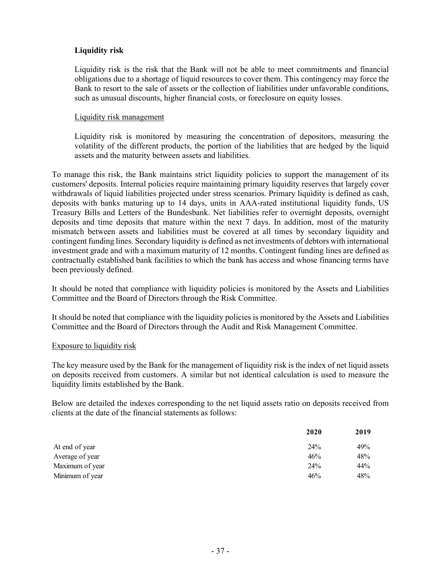## **Liquidity risk**

Liquidity risk is the risk that the Bank will not be able to meet commitments and financial obligations due to a shortage of liquid resources to cover them. This contingency may force the Bank to resort to the sale of assets or the collection of liabilities under unfavorable conditions, such as unusual discounts, higher financial costs, or foreclosure on equity losses.

## Liquidity risk management

Liquidity risk is monitored by measuring the concentration of depositors, measuring the volatility of the different products, the portion of the liabilities that are hedged by the liquid assets and the maturity between assets and liabilities.

To manage this risk, the Bank maintains strict liquidity policies to support the management of its customers' deposits. Internal policies require maintaining primary liquidity reserves that largely cover withdrawals of liquid liabilities projected under stress scenarios. Primary liquidity is defined as cash, deposits with banks maturing up to 14 days, units in AAA-rated institutional liquidity funds, US Treasury Bills and Letters of the Bundesbank. Net liabilities refer to overnight deposits, overnight deposits and time deposits that mature within the next 7 days. In addition, most of the maturity mismatch between assets and liabilities must be covered at all times by secondary liquidity and contingent funding lines. Secondary liquidity is defined as net investments of debtors with international investment grade and with a maximum maturity of 12 months. Contingent funding lines are defined as contractually established bank facilities to which the bank has access and whose financing terms have been previously defined.

It should be noted that compliance with liquidity policies is monitored by the Assets and Liabilities Committee and the Board of Directors through the Risk Committee.

It should be noted that compliance with the liquidity policies is monitored by the Assets and Liabilities Committee and the Board of Directors through the Audit and Risk Management Committee.

## Exposure to liquidity risk

The key measure used by the Bank for the management of liquidity risk is the index of net liquid assets on deposits received from customers. A similar but not identical calculation is used to measure the liquidity limits established by the Bank.

Below are detailed the indexes corresponding to the net liquid assets ratio on deposits received from clients at the date of the financial statements as follows:

|                 | 2020 | 2019 |
|-----------------|------|------|
| At end of year  | 24%  | 49%  |
| Average of year | 46%  | 48%  |
| Maximum of year | 24%  | 44%  |
| Minimum of year | 46%  | 48%  |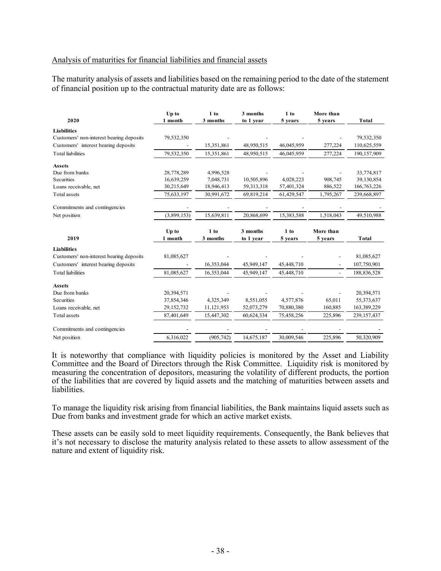## Analysis of maturities for financial liabilities and financial assets

The maturity analysis of assets and liabilities based on the remaining period to the date of the statement of financial position up to the contractual maturity date are as follows:

|                                          | Up to       | 1 <sub>to</sub> | 3 months   | 1 to       | More than                |               |
|------------------------------------------|-------------|-----------------|------------|------------|--------------------------|---------------|
| 2020                                     | 1 month     | 3 months        | to 1 year  | 5 years    | 5 years                  | <b>Total</b>  |
| <b>Liabilities</b>                       |             |                 |            |            |                          |               |
| Customers' non-interest bearing deposits | 79,532,350  |                 |            |            |                          | 79,532,350    |
| Customers' interest bearing deposits     |             | 15,351,861      | 48,950,515 | 46,045,959 | 277,224                  | 110,625,559   |
| <b>Total liabilities</b>                 | 79,532,350  | 15,351,861      | 48,950,515 | 46,045,959 | 277,224                  | 190, 157, 909 |
| <b>Assets</b>                            |             |                 |            |            |                          |               |
| Due from banks                           | 28,778,289  | 4,996,528       |            |            |                          | 33,774,817    |
| Securities                               | 16,639,259  | 7,048,731       | 10,505,896 | 4,028,223  | 908,745                  | 39,130,854    |
| Loans receivable, net                    | 30,215,649  | 18,946,413      | 59,313,318 | 57,401,324 | 886,522                  | 166,763,226   |
| Total assets                             | 75,633,197  | 30,991,672      | 69,819,214 | 61,429,547 | 1,795,267                | 239,668,897   |
| Commitments and contingencies            |             |                 |            |            |                          |               |
| Net position                             | (3,899,153) | 15,639,811      | 20,868,699 | 15,383,588 | 1,518,043                | 49,510,988    |
|                                          | Up to       | $1$ to          | 3 months   | 1 to       | More than                |               |
| 2019                                     | 1 month     | 3 months        | to 1 year  | 5 years    | 5 years                  | <b>Total</b>  |
| <b>Liabilities</b>                       |             |                 |            |            |                          |               |
| Customers' non-interest bearing deposits | 81,085,627  |                 |            |            |                          | 81,085,627    |
| Customers' interest bearing deposits     |             | 16,353,044      | 45,949,147 | 45,448,710 |                          | 107,750,901   |
| <b>Total</b> liabilities                 | 81,085,627  | 16,353,044      | 45,949,147 | 45,448,710 | $\overline{\phantom{a}}$ | 188,836,528   |
| <b>Assets</b>                            |             |                 |            |            |                          |               |
| Due from banks                           | 20,394,571  |                 |            |            |                          | 20,394,571    |
| Securities                               | 37,854,346  | 4,325,349       | 8,551,055  | 4,577,876  | 65,011                   | 55,373,637    |
| Loans receivable, net                    | 29,152,732  | 11,121,953      | 52,073,279 | 70,880,380 | 160,885                  | 163,389,229   |
| Total assets                             | 87,401,649  | 15,447,302      | 60,624,334 | 75,458,256 | 225,896                  | 239, 157, 437 |
| Commitments and contingencies            |             |                 |            |            |                          |               |
| Net position                             | 6,316,022   | (905, 742)      | 14,675,187 | 30,009,546 | 225,896                  | 50,320,909    |

It is noteworthy that compliance with liquidity policies is monitored by the Asset and Liability Committee and the Board of Directors through the Risk Committee. Liquidity risk is monitored by measuring the concentration of depositors, measuring the volatility of different products, the portion of the liabilities that are covered by liquid assets and the matching of maturities between assets and liabilities.

To manage the liquidity risk arising from financial liabilities, the Bank maintains liquid assets such as Due from banks and investment grade for which an active market exists.

These assets can be easily sold to meet liquidity requirements. Consequently, the Bank believes that it's not necessary to disclose the maturity analysis related to these assets to allow assessment of the nature and extent of liquidity risk.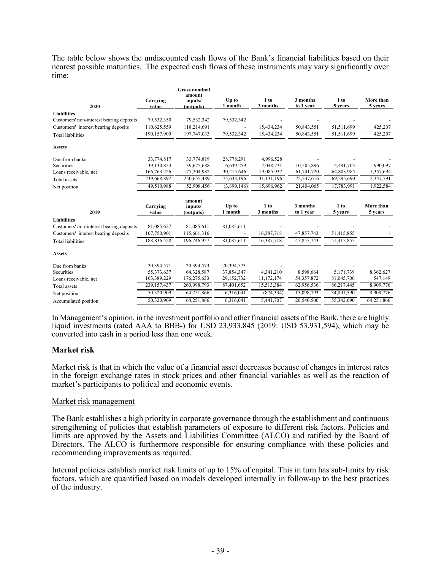The table below shows the undiscounted cash flows of the Bank's financial liabilities based on their nearest possible maturities. The expected cash flows of these instruments may vary significantly over time:

| 2020                                     | Carrying<br>value | <b>Gross nominal</b><br>amount<br>inputs/<br>(outputs) | Up to<br>1 month | 1 to<br>3 months | 3 months<br>to 1 year | 1 to<br>5 years | More than<br>5 years |
|------------------------------------------|-------------------|--------------------------------------------------------|------------------|------------------|-----------------------|-----------------|----------------------|
| <b>Liabilities</b>                       |                   |                                                        |                  |                  |                       |                 |                      |
| Customers' non-interest bearing deposits | 79,532,350        | 79,532,342                                             | 79,532,342       |                  |                       |                 |                      |
| Customers' interest bearing deposits     | 110,625,559       | 118,214,691                                            |                  | 15,434,234       | 50,843,551            | 51,511,699      | 425,207              |
| <b>Total liabilities</b>                 | 190,157,909       | 197,747,033                                            | 79,532,342       | 15,434,234       | 50,843,551            | 51,511,699      | 425,207              |
| <b>Assets</b>                            |                   |                                                        |                  |                  |                       |                 |                      |
| Due from banks                           | 33,774,817        | 33,774,819                                             | 28,778,291       | 4,996,528        |                       |                 |                      |
| Securities                               | 39,130,854        | 39,675,688                                             | 16,639,259       | 7,048,731        | 10,505,896            | 4,491,705       | 990,097              |
| Loans receivable, net                    | 166,763,226       | 177,204,982                                            | 30,215,646       | 19,085,937       | 61,741,720            | 64,803,985      | 1,357,694            |
| Total assets                             | 239,668,897       | 250,655,489                                            | 75,633,196       | 31,131,196       | 72,247,616            | 69,295,690      | 2,347,791            |
| Net position                             | 49,510,988        | 52,908,456                                             | (3,899,146)      | 15,696,962       | 21,404,065            | 17,783,991      | 1,922,584            |
| 2019                                     | Carrying<br>value | amount<br>inputs/<br>(outputs)                         | Up to<br>1 month | 1 to<br>3 months | 3 months<br>to 1 year | 1 to<br>5 years | More than<br>5 years |
| <b>Liabilities</b>                       |                   |                                                        |                  |                  |                       |                 |                      |
| Customers' non-interest bearing deposits | 81,085,627        | 81,085,611                                             | 81,085,611       |                  |                       |                 |                      |
| Customers' interest bearing deposits     | 107,750,901       | 115,661,316                                            |                  | 16,387,718       | 47,857,743            | 51,415,855      |                      |
| <b>Total liabilities</b>                 | 188,836,528       | 196,746,927                                            | 81,085,611       | 16,387,718       | 47,857,743            | 51,415,855      |                      |
| <b>Assets</b>                            |                   |                                                        |                  |                  |                       |                 |                      |
| Due from banks                           | 20,394,571        | 20,394,573                                             | 20,394,573       |                  |                       |                 |                      |
| Securities                               | 55,373,637        | 64,328,587                                             | 37,854,347       | 4,341,210        | 8,598,664             | 5,171,739       | 8,362,627            |
| Loans receivable, net                    | 163,389,229       | 176,275,633                                            | 29,152,732       | 11,172,174       | 54, 357, 872          | 81,045,706      | 547,149              |
| Total assets                             | 239,157,437       | 260,998,793                                            | 87,401,652       | 15,513,384       | 62,956,536            | 86,217,445      | 8,909,776            |
| Net position                             |                   |                                                        |                  |                  |                       |                 |                      |
|                                          | 50,320,909        | 64,251,866                                             | 6,316,041        | (874, 334)       | 15,098,793            | 34,801,590      | 8,909,776            |

In Management's opinion, in the investment portfolio and other financial assets of the Bank, there are highly liquid investments (rated AAA to BBB-) for USD 23,933,845 (2019: USD 53,931,594), which may be converted into cash in a period less than one week.

## **Market risk**

Market risk is that in which the value of a financial asset decreases because of changes in interest rates in the foreign exchange rates in stock prices and other financial variables as well as the reaction of market's participants to political and economic events.

#### Market risk management

The Bank establishes a high priority in corporate governance through the establishment and continuous strengthening of policies that establish parameters of exposure to different risk factors. Policies and limits are approved by the Assets and Liabilities Committee (ALCO) and ratified by the Board of Directors. The ALCO is furthermore responsible for ensuring compliance with these policies and recommending improvements as required.

Internal policies establish market risk limits of up to 15% of capital. This in turn has sub-limits by risk factors, which are quantified based on models developed internally in follow-up to the best practices of the industry.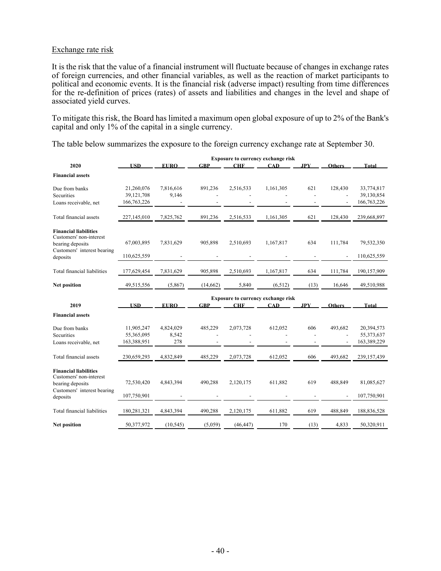## Exchange rate risk

It is the risk that the value of a financial instrument will fluctuate because of changes in exchange rates of foreign currencies, and other financial variables, as well as the reaction of market participants to political and economic events. It is the financial risk (adverse impact) resulting from time differences for the re-definition of prices (rates) of assets and liabilities and changes in the level and shape of associated yield curves.

To mitigate this risk, the Board has limited a maximum open global exposure of up to 2% of the Bank's capital and only 1% of the capital in a single currency.

The table below summarizes the exposure to the foreign currency exchange rate at September 30.

|                                                                                                                        | <b>Exposure to currency exchange risk</b> |                           |            |            |                                                  |            |               |                                         |  |  |  |
|------------------------------------------------------------------------------------------------------------------------|-------------------------------------------|---------------------------|------------|------------|--------------------------------------------------|------------|---------------|-----------------------------------------|--|--|--|
| 2020                                                                                                                   | <b>USD</b>                                | <b>EURO</b>               | <b>GBP</b> | <b>CHF</b> | CAD                                              | <b>JPY</b> | <b>Others</b> | Total                                   |  |  |  |
| <b>Financial assets</b>                                                                                                |                                           |                           |            |            |                                                  |            |               |                                         |  |  |  |
| Due from banks<br><b>Securities</b><br>Loans receivable, net                                                           | 21,260,076<br>39,121,708<br>166,763,226   | 7.816.616<br>9,146        | 891,236    | 2,516,533  | 1,161,305                                        | 621        | 128,430       | 33,774,817<br>39,130,854<br>166,763,226 |  |  |  |
| Total financial assets                                                                                                 | 227,145,010                               | 7,825,762                 | 891,236    | 2,516,533  | 1,161,305                                        | 621        | 128,430       | 239,668,897                             |  |  |  |
| <b>Financial liabilities</b><br>Customers' non-interest<br>bearing deposits<br>Customers' interest bearing<br>deposits | 67,003,895<br>110,625,559                 | 7,831,629                 | 905,898    | 2,510,693  | 1,167,817                                        | 634        | 111,784       | 79,532,350<br>110,625,559               |  |  |  |
| Total financial liabilities                                                                                            | 177,629,454                               | 7,831,629                 | 905,898    | 2,510,693  | 1,167,817                                        | 634        | 111,784       | 190,157,909                             |  |  |  |
| <b>Net position</b>                                                                                                    | 49,515,556                                | (5,867)                   | (14,662)   | 5,840      | (6,512)                                          | (13)       | 16,646        | 49,510,988                              |  |  |  |
| 2019                                                                                                                   | <b>USD</b>                                | <b>EURO</b>               | <b>GBP</b> | <b>CHF</b> | <b>Exposure to currency exchange risk</b><br>CAD | <b>JPY</b> | <b>Others</b> | <b>Total</b>                            |  |  |  |
| <b>Financial assets</b>                                                                                                |                                           |                           |            |            |                                                  |            |               |                                         |  |  |  |
| Due from banks<br><b>Securities</b><br>Loans receivable, net                                                           | 11,905,247<br>55,365,095<br>163,388,951   | 4,824,029<br>8,542<br>278 | 485,229    | 2,073,728  | 612,052                                          | 606        | 493,682       | 20,394,573<br>55,373,637<br>163,389,229 |  |  |  |
| Total financial assets                                                                                                 | 230,659,293                               | 4,832,849                 | 485.229    | 2,073,728  | 612.052                                          | 606        | 493,682       | 239,157,439                             |  |  |  |
| <b>Financial liabilities</b><br>Customers' non-interest<br>bearing deposits<br>Customers' interest bearing<br>deposits | 72,530,420<br>107,750,901                 | 4,843,394                 | 490,288    | 2,120,175  | 611,882                                          | 619        | 488,849       | 81,085,627<br>107,750,901               |  |  |  |
| Total financial liabilities                                                                                            | 180,281,321                               | 4,843,394                 | 490,288    | 2,120,175  | 611,882                                          | 619        | 488,849       | 188,836,528                             |  |  |  |
| <b>Net position</b>                                                                                                    | 50,377,972                                | (10, 545)                 | (5,059)    | (46, 447)  | 170                                              | (13)       | 4,833         | 50,320,911                              |  |  |  |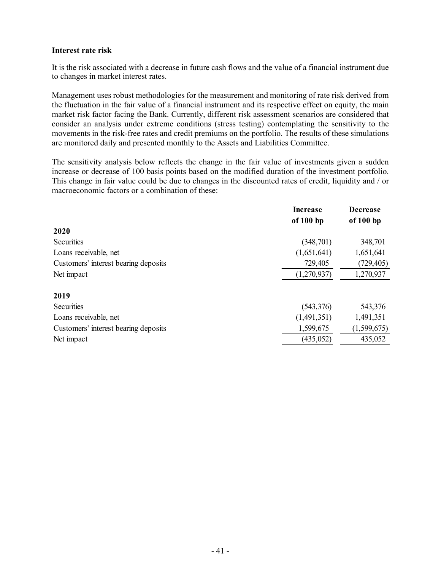## **Interest rate risk**

It is the risk associated with a decrease in future cash flows and the value of a financial instrument due to changes in market interest rates.

Management uses robust methodologies for the measurement and monitoring of rate risk derived from the fluctuation in the fair value of a financial instrument and its respective effect on equity, the main market risk factor facing the Bank. Currently, different risk assessment scenarios are considered that consider an analysis under extreme conditions (stress testing) contemplating the sensitivity to the movements in the risk-free rates and credit premiums on the portfolio. The results of these simulations are monitored daily and presented monthly to the Assets and Liabilities Committee.

The sensitivity analysis below reflects the change in the fair value of investments given a sudden increase or decrease of 100 basis points based on the modified duration of the investment portfolio. This change in fair value could be due to changes in the discounted rates of credit, liquidity and / or macroeconomic factors or a combination of these:

|                                      | <b>Increase</b><br>of $100$ bp | <b>Decrease</b><br>of $100$ bp |
|--------------------------------------|--------------------------------|--------------------------------|
| 2020                                 |                                |                                |
| Securities                           | (348,701)                      | 348,701                        |
| Loans receivable, net                | (1,651,641)                    | 1,651,641                      |
| Customers' interest bearing deposits | 729,405                        | (729, 405)                     |
| Net impact                           | (1,270,937)                    | 1,270,937                      |
| 2019                                 |                                |                                |
| Securities                           | (543, 376)                     | 543,376                        |
| Loans receivable, net                | (1,491,351)                    | 1,491,351                      |
| Customers' interest bearing deposits | 1,599,675                      | (1,599,675)                    |
| Net impact                           | (435, 052)                     | 435,052                        |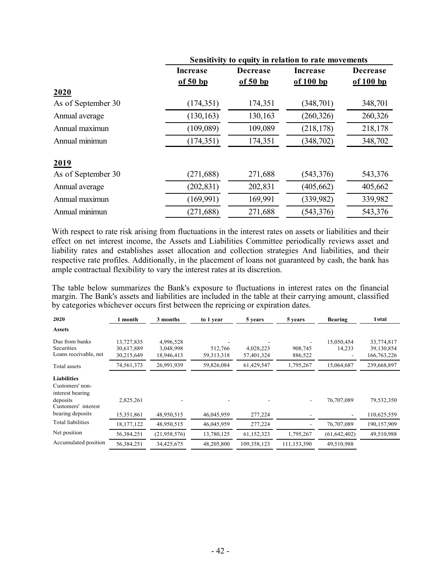|                    | Sensitivity to equity in relation to rate movements |                      |                       |                              |  |  |  |  |
|--------------------|-----------------------------------------------------|----------------------|-----------------------|------------------------------|--|--|--|--|
|                    | Increase                                            | Decrease<br>of 50 bp | Increase<br>of 100 bp | <b>Decrease</b><br>of 100 bp |  |  |  |  |
| 2020               | of 50 bp                                            |                      |                       |                              |  |  |  |  |
| As of September 30 | (174, 351)                                          | 174,351              | (348, 701)            | 348,701                      |  |  |  |  |
| Annual average     | (130, 163)                                          | 130,163              | (260, 326)            | 260,326                      |  |  |  |  |
| Annual maximun     | (109, 089)                                          | 109,089              | (218, 178)            | 218,178                      |  |  |  |  |
| Annual minimun     | (174, 351)                                          | 174,351              | (348, 702)            | 348,702                      |  |  |  |  |
| 2019               |                                                     |                      |                       |                              |  |  |  |  |
| As of September 30 | (271, 688)                                          | 271,688              | (543, 376)            | 543,376                      |  |  |  |  |
| Annual average     | (202, 831)                                          | 202,831              | (405, 662)            | 405,662                      |  |  |  |  |
| Annual maximun     | (169, 991)                                          | 169,991              | (339, 982)            | 339,982                      |  |  |  |  |
| Annual minimun     | (271, 688)                                          | 271,688              | (543, 376)            | 543,376                      |  |  |  |  |

With respect to rate risk arising from fluctuations in the interest rates on assets or liabilities and their effect on net interest income, the Assets and Liabilities Committee periodically reviews asset and liability rates and establishes asset allocation and collection strategies And liabilities, and their respective rate profiles. Additionally, in the placement of loans not guaranteed by cash, the bank has ample contractual flexibility to vary the interest rates at its discretion.

The table below summarizes the Bank's exposure to fluctuations in interest rates on the financial margin. The Bank's assets and liabilities are included in the table at their carrying amount, classified by categories whichever occurs first between the repricing or expiration dates.

| 2020                                                                                  | 1 month                                | 3 months                             | to 1 year               | 5 years                 | 5 years            | Bearing              | <b>Total</b>                            |
|---------------------------------------------------------------------------------------|----------------------------------------|--------------------------------------|-------------------------|-------------------------|--------------------|----------------------|-----------------------------------------|
| <b>Assets</b>                                                                         |                                        |                                      |                         |                         |                    |                      |                                         |
| Due from banks<br>Securities<br>Loans receivable, net                                 | 13,727,835<br>30,617,889<br>30,215,649 | 4,996,528<br>3,048,998<br>18,946,413 | 512,766<br>59, 313, 318 | 4,028,223<br>57,401,324 | 908,745<br>886,522 | 15,050,454<br>14,233 | 33,774,817<br>39,130,854<br>166,763,226 |
| Total assets                                                                          | 74,561,373                             | 26,991,939                           | 59,826,084              | 61,429,547              | 1,795,267          | 15,064,687           | 239,668,897                             |
| Liabilities<br>Customers' non-<br>interest bearing<br>deposits<br>Customers' interest | 2,825,261                              |                                      |                         |                         | ۰.                 | 76,707,089           | 79,532,350                              |
| bearing deposits                                                                      | 15,351,861                             | 48,950,515                           | 46,045,959              | 277,224                 |                    |                      | 110,625,559                             |
| Total liabilities                                                                     | 18, 177, 122                           | 48,950,515                           | 46,045,959              | 277,224                 |                    | 76,707,089           | 190,157,909                             |
| Net position                                                                          | 56,384,251                             | (21,958,576)                         | 13,780,125              | 61,152,323              | 1,795,267          | (61, 642, 402)       | 49,510,988                              |
| Accumulated position                                                                  | 56,384,251                             | 34,425,675                           | 48,205,800              | 109,358,123             | 111,153,390        | 49,510,988           |                                         |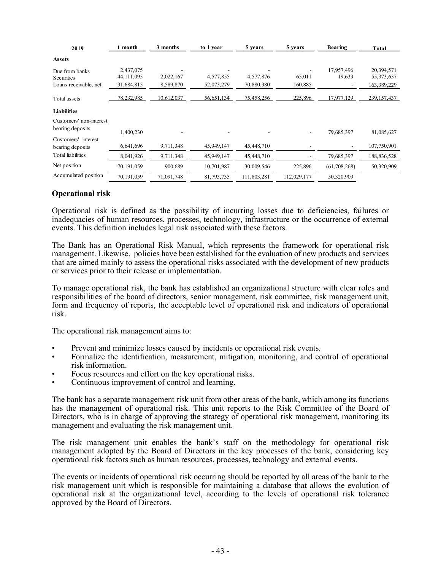| 2019                     | 1 month      | 3 months   | to 1 year  | 5 years     | 5 years     | <b>Bearing</b> | Total         |
|--------------------------|--------------|------------|------------|-------------|-------------|----------------|---------------|
| <b>Assets</b>            |              |            |            |             |             |                |               |
| Due from banks           | 2,437,075    |            |            |             |             | 17,957,496     | 20,394,571    |
| Securities               | 44, 111, 095 | 2,022,167  | 4,577,855  | 4,577,876   | 65,011      | 19,633         | 55,373,637    |
| Loans receivable, net    | 31,684,815   | 8,589,870  | 52,073,279 | 70,880,380  | 160,885     |                | 163,389,229   |
| Total assets             | 78,232,985   | 10,612,037 | 56,651,134 | 75,458,256  | 225,896     | 17,977,129     | 239, 157, 437 |
| Liabilities              |              |            |            |             |             |                |               |
| Customers' non-interest  |              |            |            |             |             |                |               |
| bearing deposits         | 1,400,230    |            |            |             | ۰           | 79,685,397     | 81,085,627    |
| Customers' interest      |              |            |            |             |             |                |               |
| bearing deposits         | 6,641,696    | 9,711,348  | 45,949,147 | 45,448,710  |             |                | 107,750,901   |
| <b>Total liabilities</b> | 8,041,926    | 9,711,348  | 45,949,147 | 45,448,710  |             | 79,685,397     | 188,836,528   |
| Net position             | 70,191,059   | 900,689    | 10,701,987 | 30,009,546  | 225,896     | (61,708,268)   | 50,320,909    |
| Accumulated position     | 70,191,059   | 71,091,748 | 81,793,735 | 111,803,281 | 112,029,177 | 50,320,909     |               |

## **Operational risk**

Operational risk is defined as the possibility of incurring losses due to deficiencies, failures or inadequacies of human resources, processes, technology, infrastructure or the occurrence of external events. This definition includes legal risk associated with these factors.

The Bank has an Operational Risk Manual, which represents the framework for operational risk management. Likewise, policies have been established for the evaluation of new products and services that are aimed mainly to assess the operational risks associated with the development of new products or services prior to their release or implementation.

To manage operational risk, the bank has established an organizational structure with clear roles and responsibilities of the board of directors, senior management, risk committee, risk management unit, form and frequency of reports, the acceptable level of operational risk and indicators of operational risk.

The operational risk management aims to:

- Prevent and minimize losses caused by incidents or operational risk events.
- Formalize the identification, measurement, mitigation, monitoring, and control of operational risk information.
- Focus resources and effort on the key operational risks.
- Continuous improvement of control and learning.

The bank has a separate management risk unit from other areas of the bank, which among its functions has the management of operational risk. This unit reports to the Risk Committee of the Board of Directors, who is in charge of approving the strategy of operational risk management, monitoring its management and evaluating the risk management unit.

The risk management unit enables the bank's staff on the methodology for operational risk management adopted by the Board of Directors in the key processes of the bank, considering key operational risk factors such as human resources, processes, technology and external events.

The events or incidents of operational risk occurring should be reported by all areas of the bank to the risk management unit which is responsible for maintaining a database that allows the evolution of operational risk at the organizational level, according to the levels of operational risk tolerance approved by the Board of Directors.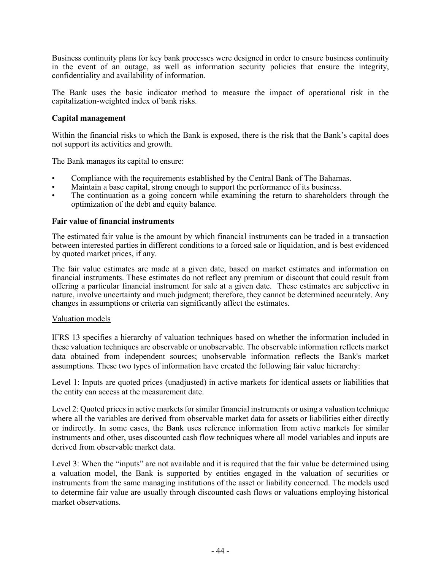Business continuity plans for key bank processes were designed in order to ensure business continuity in the event of an outage, as well as information security policies that ensure the integrity, confidentiality and availability of information.

The Bank uses the basic indicator method to measure the impact of operational risk in the capitalization-weighted index of bank risks.

## **Capital management**

Within the financial risks to which the Bank is exposed, there is the risk that the Bank's capital does not support its activities and growth.

The Bank manages its capital to ensure:

- Compliance with the requirements established by the Central Bank of The Bahamas.
- Maintain a base capital, strong enough to support the performance of its business.
- The continuation as a going concern while examining the return to shareholders through the optimization of the debt and equity balance.

#### **Fair value of financial instruments**

The estimated fair value is the amount by which financial instruments can be traded in a transaction between interested parties in different conditions to a forced sale or liquidation, and is best evidenced by quoted market prices, if any.

The fair value estimates are made at a given date, based on market estimates and information on financial instruments. These estimates do not reflect any premium or discount that could result from offering a particular financial instrument for sale at a given date. These estimates are subjective in nature, involve uncertainty and much judgment; therefore, they cannot be determined accurately. Any changes in assumptions or criteria can significantly affect the estimates.

#### Valuation models

IFRS 13 specifies a hierarchy of valuation techniques based on whether the information included in these valuation techniques are observable or unobservable. The observable information reflects market data obtained from independent sources; unobservable information reflects the Bank's market assumptions. These two types of information have created the following fair value hierarchy:

Level 1: Inputs are quoted prices (unadjusted) in active markets for identical assets or liabilities that the entity can access at the measurement date.

Level 2: Quoted prices in active markets for similar financial instruments or using a valuation technique where all the variables are derived from observable market data for assets or liabilities either directly or indirectly. In some cases, the Bank uses reference information from active markets for similar instruments and other, uses discounted cash flow techniques where all model variables and inputs are derived from observable market data.

Level 3: When the "inputs" are not available and it is required that the fair value be determined using a valuation model, the Bank is supported by entities engaged in the valuation of securities or instruments from the same managing institutions of the asset or liability concerned. The models used to determine fair value are usually through discounted cash flows or valuations employing historical market observations.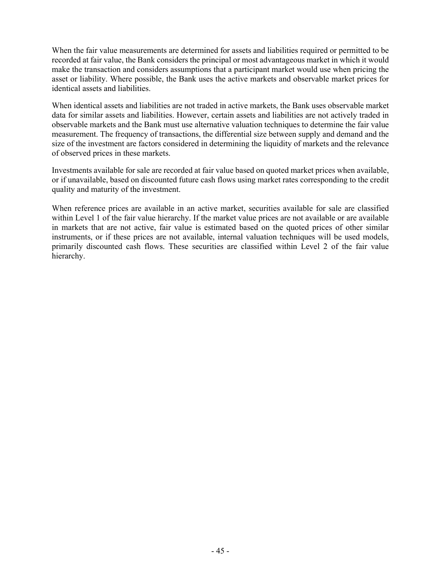When the fair value measurements are determined for assets and liabilities required or permitted to be recorded at fair value, the Bank considers the principal or most advantageous market in which it would make the transaction and considers assumptions that a participant market would use when pricing the asset or liability. Where possible, the Bank uses the active markets and observable market prices for identical assets and liabilities.

When identical assets and liabilities are not traded in active markets, the Bank uses observable market data for similar assets and liabilities. However, certain assets and liabilities are not actively traded in observable markets and the Bank must use alternative valuation techniques to determine the fair value measurement. The frequency of transactions, the differential size between supply and demand and the size of the investment are factors considered in determining the liquidity of markets and the relevance of observed prices in these markets.

Investments available for sale are recorded at fair value based on quoted market prices when available, or if unavailable, based on discounted future cash flows using market rates corresponding to the credit quality and maturity of the investment.

When reference prices are available in an active market, securities available for sale are classified within Level 1 of the fair value hierarchy. If the market value prices are not available or are available in markets that are not active, fair value is estimated based on the quoted prices of other similar instruments, or if these prices are not available, internal valuation techniques will be used models, primarily discounted cash flows. These securities are classified within Level 2 of the fair value hierarchy.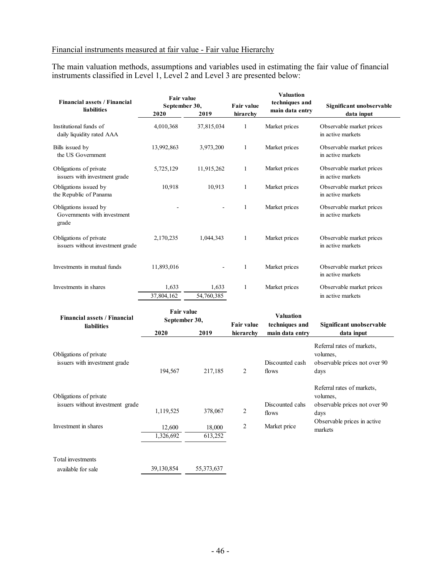# Financial instruments measured at fair value - Fair value Hierarchy

The main valuation methods, assumptions and variables used in estimating the fair value of financial instruments classified in Level 1, Level 2 and Level 3 are presented below:

| <b>Financial assets / Financial</b><br>liabilities            | Fair value<br>September 30,        |                     | Fair value   | <b>Valuation</b><br>techniques and | Significant unobservable                                                        |  |  |
|---------------------------------------------------------------|------------------------------------|---------------------|--------------|------------------------------------|---------------------------------------------------------------------------------|--|--|
|                                                               | 2020                               | 2019                | hirarchy     | main data entry                    | data input                                                                      |  |  |
| Institutional funds of<br>daily liquidity rated AAA           | 4,010,368                          | 37,815,034          | $\mathbf{1}$ | Market prices                      | Observable market prices<br>in active markets                                   |  |  |
| Bills issued by<br>the US Government                          | 13,992,863                         | 3,973,200           | $\mathbf{1}$ | Market prices                      | Observable market prices<br>in active markets                                   |  |  |
| Obligations of private<br>issuers with investment grade       | 5,725,129                          | 11,915,262          | $\mathbf{1}$ | Market prices                      | Observable market prices<br>in active markets                                   |  |  |
| Obligations issued by<br>the Republic of Panama               | 10,918                             | 10,913              | $\mathbf{1}$ | Market prices                      | Observable market prices<br>in active markets                                   |  |  |
| Obligations issued by<br>Governments with investment<br>grade |                                    |                     | $\mathbf{1}$ | Market prices                      | Observable market prices<br>in active markets                                   |  |  |
| Obligations of private<br>issuers without investment grade    | 2,170,235                          | 1,044,343           | $\mathbf{1}$ | Market prices                      | Observable market prices<br>in active markets                                   |  |  |
| Investments in mutual funds                                   | 11,893,016                         |                     | $\mathbf{1}$ | Market prices                      | Observable market prices<br>in active markets                                   |  |  |
| Investments in shares                                         | 1,633<br>37,804,162                | 1,633<br>54,760,385 | $\mathbf{1}$ | Market prices                      | Observable market prices<br>in active markets                                   |  |  |
| <b>Financial assets / Financial</b><br>liabilities            | <b>Fair value</b><br>September 30, |                     | Fair value   | <b>Valuation</b><br>techniques and | Significant unobservable                                                        |  |  |
|                                                               | 2020                               | 2019                | hierarchy    | main data entry                    | data input                                                                      |  |  |
| Obligations of private<br>issuers with investment grade       | 194,567                            | 217,185             | 2            | Discounted cash<br>flows           | Referral rates of markets,<br>volumes,<br>observable prices not over 90<br>days |  |  |
| Obligations of private<br>issuers without investment grade    |                                    |                     |              | Discounted cahs                    | Referral rates of markets,<br>volumes,<br>observable prices not over 90         |  |  |
|                                                               | 1,119,525                          | 378,067             | 2            | flows                              | days                                                                            |  |  |
| Investment in shares                                          | 12,600                             | 18,000              | 2            | Market price                       | Observable prices in active<br>markets                                          |  |  |
|                                                               | 1,326,692                          | 613,252             |              |                                    |                                                                                 |  |  |
| Total investments                                             |                                    |                     |              |                                    |                                                                                 |  |  |
| available for sale                                            | 39,130,854                         | 55,373,637          |              |                                    |                                                                                 |  |  |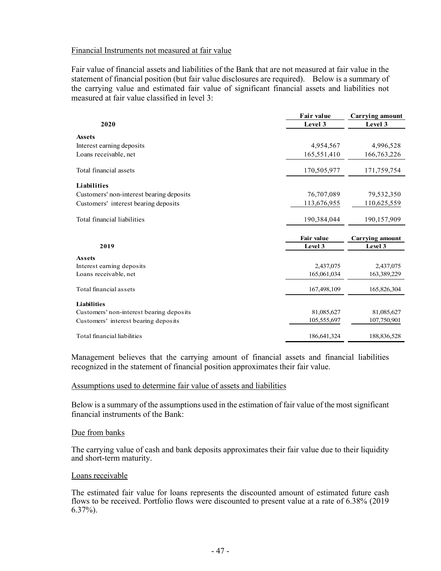## Financial Instruments not measured at fair value

Fair value of financial assets and liabilities of the Bank that are not measured at fair value in the statement of financial position (but fair value disclosures are required). Below is a summary of the carrying value and estimated fair value of significant financial assets and liabilities not measured at fair value classified in level 3:

|                                          | Fair value  | <b>Carrying amount</b> |
|------------------------------------------|-------------|------------------------|
| 2020                                     | Level 3     | Level 3                |
| <b>Assets</b>                            |             |                        |
| Interest earning deposits                | 4,954,567   | 4,996,528              |
| Loans receivable, net                    | 165,551,410 | 166,763,226            |
| Total financial assets                   | 170,505,977 | 171,759,754            |
| Liabilities                              |             |                        |
| Customers' non-interest bearing deposits | 76,707,089  | 79,532,350             |
| Customers' interest bearing deposits     | 113,676,955 | 110,625,559            |
| Total financial liabilities              | 190,384,044 | 190,157,909            |
|                                          | Fair value  | <b>Carrying amount</b> |
| 2019                                     | Level 3     | Level 3                |
| <b>Assets</b>                            |             |                        |
| Interest earning deposits                | 2,437,075   | 2,437,075              |
| Loans receivable, net                    | 165,061,034 | 163,389,229            |
| Total financial assets                   | 167,498,109 | 165,826,304            |
| <b>Liabilities</b>                       |             |                        |
| Customers' non-interest bearing deposits | 81,085,627  | 81,085,627             |
| Customers' interest bearing deposits     | 105,555,697 | 107,750,901            |
| Total financial liabilities              | 186,641,324 | 188,836,528            |

Management believes that the carrying amount of financial assets and financial liabilities recognized in the statement of financial position approximates their fair value.

## Assumptions used to determine fair value of assets and liabilities

Below is a summary of the assumptions used in the estimation of fair value of the most significant financial instruments of the Bank:

#### Due from banks

The carrying value of cash and bank deposits approximates their fair value due to their liquidity and short-term maturity.

#### Loans receivable

The estimated fair value for loans represents the discounted amount of estimated future cash flows to be received. Portfolio flows were discounted to present value at a rate of 6.38% (2019 6.37%).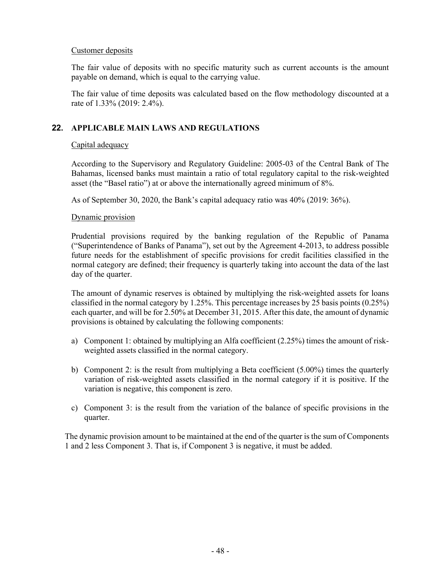## Customer deposits

The fair value of deposits with no specific maturity such as current accounts is the amount payable on demand, which is equal to the carrying value.

The fair value of time deposits was calculated based on the flow methodology discounted at a rate of 1.33% (2019: 2.4%).

## **22. APPLICABLE MAIN LAWS AND REGULATIONS**

## Capital adequacy

According to the Supervisory and Regulatory Guideline: 2005-03 of the Central Bank of The Bahamas, licensed banks must maintain a ratio of total regulatory capital to the risk-weighted asset (the "Basel ratio") at or above the internationally agreed minimum of 8%.

As of September 30, 2020, the Bank's capital adequacy ratio was 40% (2019: 36%).

## Dynamic provision

Prudential provisions required by the banking regulation of the Republic of Panama ("Superintendence of Banks of Panama"), set out by the Agreement 4-2013, to address possible future needs for the establishment of specific provisions for credit facilities classified in the normal category are defined; their frequency is quarterly taking into account the data of the last day of the quarter.

The amount of dynamic reserves is obtained by multiplying the risk-weighted assets for loans classified in the normal category by 1.25%. This percentage increases by 25 basis points (0.25%) each quarter, and will be for 2.50% at December 31, 2015. After this date, the amount of dynamic provisions is obtained by calculating the following components:

- a) Component 1: obtained by multiplying an Alfa coefficient (2.25%) times the amount of riskweighted assets classified in the normal category.
- b) Component 2: is the result from multiplying a Beta coefficient (5.00%) times the quarterly variation of risk-weighted assets classified in the normal category if it is positive. If the variation is negative, this component is zero.
- c) Component 3: is the result from the variation of the balance of specific provisions in the quarter.

The dynamic provision amount to be maintained at the end of the quarter is the sum of Components 1 and 2 less Component 3. That is, if Component 3 is negative, it must be added.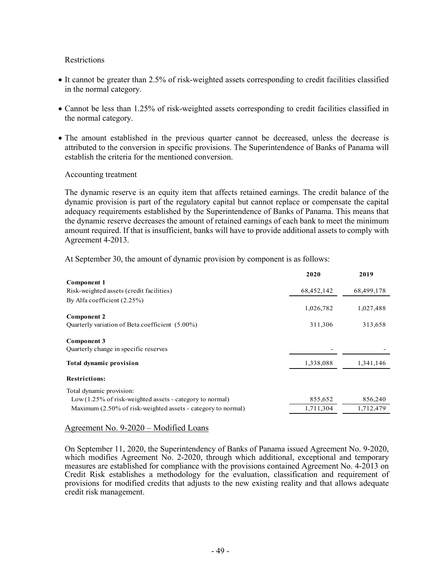## **Restrictions**

- It cannot be greater than 2.5% of risk-weighted assets corresponding to credit facilities classified in the normal category.
- Cannot be less than 1.25% of risk-weighted assets corresponding to credit facilities classified in the normal category.
- The amount established in the previous quarter cannot be decreased, unless the decrease is attributed to the conversion in specific provisions. The Superintendence of Banks of Panama will establish the criteria for the mentioned conversion.

## Accounting treatment

The dynamic reserve is an equity item that affects retained earnings. The credit balance of the dynamic provision is part of the regulatory capital but cannot replace or compensate the capital adequacy requirements established by the Superintendence of Banks of Panama. This means that the dynamic reserve decreases the amount of retained earnings of each bank to meet the minimum amount required. If that is insufficient, banks will have to provide additional assets to comply with Agreement 4-2013.

At September 30, the amount of dynamic provision by component is as follows:

|                                                                     | 2020       | 2019       |
|---------------------------------------------------------------------|------------|------------|
| Component 1                                                         |            |            |
| Risk-weighted assets (credit facilities)                            | 68,452,142 | 68,499,178 |
| By Alfa coefficient $(2.25\%)$                                      |            |            |
|                                                                     | 1,026,782  | 1,027,488  |
| <b>Component 2</b>                                                  |            |            |
| Ouarterly variation of Beta coefficient (5.00%)                     | 311,306    | 313,658    |
| Component 3                                                         |            |            |
| Quarterly change in specific reserves                               |            |            |
| <b>Total dynamic provision</b>                                      | 1,338,088  | 1,341,146  |
| <b>Restrictions:</b>                                                |            |            |
| Total dynamic provision:                                            |            |            |
| $Low(1.25\% \text{ of risk-weighted assets - category to normal}))$ | 855,652    | 856,240    |
| Maximum (2.50% of risk-weighted assets - category to normal)        | 1,711,304  | 1,712,479  |
|                                                                     |            |            |

## Agreement No. 9-2020 – Modified Loans

On September 11, 2020, the Superintendency of Banks of Panama issued Agreement No. 9-2020, which modifies Agreement No. 2-2020, through which additional, exceptional and temporary measures are established for compliance with the provisions contained Agreement No. 4-2013 on Credit Risk establishes a methodology for the evaluation, classification and requirement of provisions for modified credits that adjusts to the new existing reality and that allows adequate credit risk management.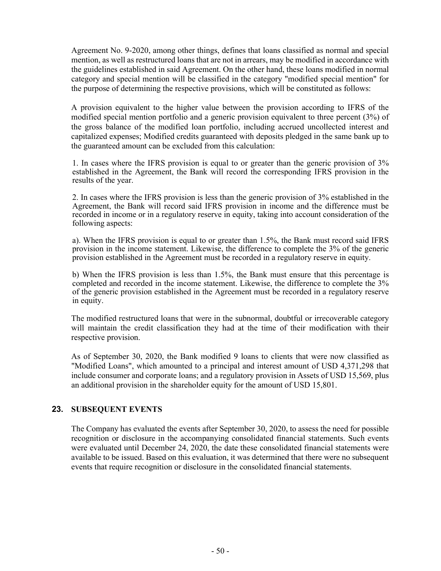Agreement No. 9-2020, among other things, defines that loans classified as normal and special mention, as well as restructured loans that are not in arrears, may be modified in accordance with the guidelines established in said Agreement. On the other hand, these loans modified in normal category and special mention will be classified in the category "modified special mention" for the purpose of determining the respective provisions, which will be constituted as follows:

A provision equivalent to the higher value between the provision according to IFRS of the modified special mention portfolio and a generic provision equivalent to three percent (3%) of the gross balance of the modified loan portfolio, including accrued uncollected interest and capitalized expenses; Modified credits guaranteed with deposits pledged in the same bank up to the guaranteed amount can be excluded from this calculation:

1. In cases where the IFRS provision is equal to or greater than the generic provision of 3% established in the Agreement, the Bank will record the corresponding IFRS provision in the results of the year.

2. In cases where the IFRS provision is less than the generic provision of 3% established in the Agreement, the Bank will record said IFRS provision in income and the difference must be recorded in income or in a regulatory reserve in equity, taking into account consideration of the following aspects:

a). When the IFRS provision is equal to or greater than 1.5%, the Bank must record said IFRS provision in the income statement. Likewise, the difference to complete the 3% of the generic provision established in the Agreement must be recorded in a regulatory reserve in equity.

b) When the IFRS provision is less than 1.5%, the Bank must ensure that this percentage is completed and recorded in the income statement. Likewise, the difference to complete the 3% of the generic provision established in the Agreement must be recorded in a regulatory reserve in equity.

The modified restructured loans that were in the subnormal, doubtful or irrecoverable category will maintain the credit classification they had at the time of their modification with their respective provision.

As of September 30, 2020, the Bank modified 9 loans to clients that were now classified as "Modified Loans", which amounted to a principal and interest amount of USD 4,371,298 that include consumer and corporate loans; and a regulatory provision in Assets of USD 15,569, plus an additional provision in the shareholder equity for the amount of USD 15,801.

## **23. SUBSEQUENT EVENTS**

The Company has evaluated the events after September 30, 2020, to assess the need for possible recognition or disclosure in the accompanying consolidated financial statements. Such events were evaluated until December 24, 2020, the date these consolidated financial statements were available to be issued. Based on this evaluation, it was determined that there were no subsequent events that require recognition or disclosure in the consolidated financial statements.